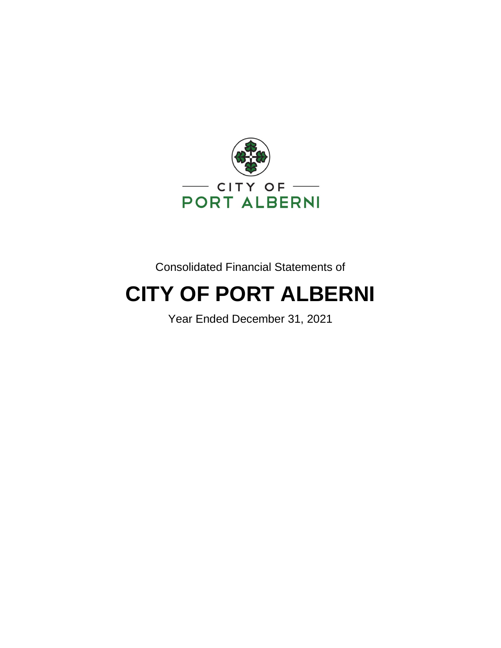

Consolidated Financial Statements of

# **CITY OF PORT ALBERNI**

Year Ended December 31, 2021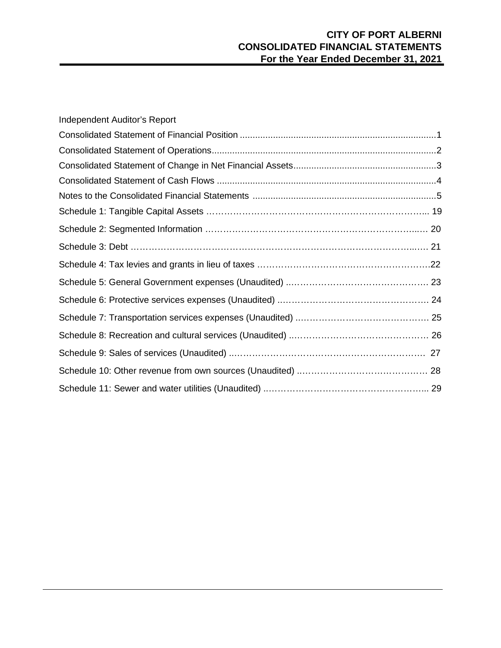# **CITY OF PORT ALBERNI CONSOLIDATED FINANCIAL STATEMENTS For the Year Ended December 31, 2021**

| <b>Independent Auditor's Report</b> |  |
|-------------------------------------|--|
|                                     |  |
|                                     |  |
|                                     |  |
|                                     |  |
|                                     |  |
|                                     |  |
|                                     |  |
|                                     |  |
|                                     |  |
|                                     |  |
|                                     |  |
|                                     |  |
|                                     |  |
|                                     |  |
|                                     |  |
|                                     |  |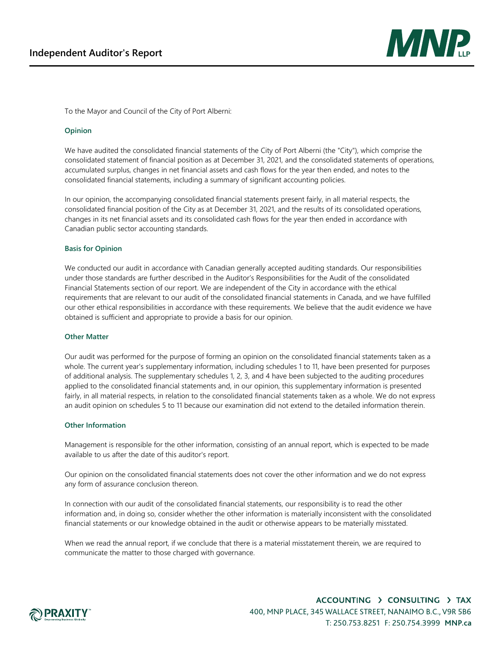

To the Mayor and Council of the City of Port Alberni:

#### **Opinion**

We have audited the consolidated financial statements of the City of Port Alberni (the "City"), which comprise the consolidated statement of financial position as at December 31, 2021, and the consolidated statements of operations, accumulated surplus, changes in net financial assets and cash flows for the year then ended, and notes to the consolidated financial statements, including a summary of significant accounting policies.

In our opinion, the accompanying consolidated financial statements present fairly, in all material respects, the consolidated financial position of the City as at December 31, 2021, and the results of its consolidated operations, changes in its net financial assets and its consolidated cash flows for the year then ended in accordance with Canadian public sector accounting standards.

#### **Basis for Opinion**

We conducted our audit in accordance with Canadian generally accepted auditing standards. Our responsibilities under those standards are further described in the Auditor's Responsibilities for the Audit of the consolidated Financial Statements section of our report. We are independent of the City in accordance with the ethical requirements that are relevant to our audit of the consolidated financial statements in Canada, and we have fulfilled our other ethical responsibilities in accordance with these requirements. We believe that the audit evidence we have obtained is sufficient and appropriate to provide a basis for our opinion.

#### **Other Matter**

Our audit was performed for the purpose of forming an opinion on the consolidated financial statements taken as a whole. The current year's supplementary information, including schedules 1 to 11, have been presented for purposes of additional analysis. The supplementary schedules 1, 2, 3, and 4 have been subjected to the auditing procedures applied to the consolidated financial statements and, in our opinion, this supplementary information is presented fairly, in all material respects, in relation to the consolidated financial statements taken as a whole. We do not express an audit opinion on schedules 5 to 11 because our examination did not extend to the detailed information therein.

#### **Other Information**

Management is responsible for the other information, consisting of an annual report, which is expected to be made available to us after the date of this auditor's report.

Our opinion on the consolidated financial statements does not cover the other information and we do not express any form of assurance conclusion thereon.

In connection with our audit of the consolidated financial statements, our responsibility is to read the other information and, in doing so, consider whether the other information is materially inconsistent with the consolidated financial statements or our knowledge obtained in the audit or otherwise appears to be materially misstated.

When we read the annual report, if we conclude that there is a material misstatement therein, we are required to communicate the matter to those charged with governance.



ACCOUNTING > CONSULTING > TAX 400, MNP PLACE, 345 WALLACE STREET, NANAIMO B.C., V9R 5B6 T: 250.753.8251 F: 250.754.3999 **MNP.ca**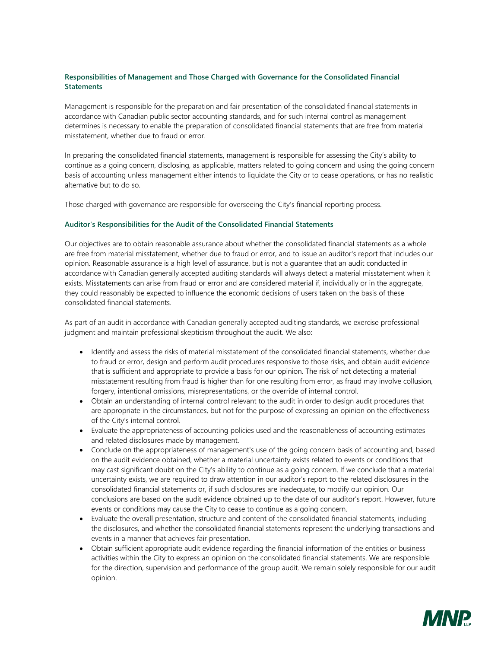#### **Responsibilities of Management and Those Charged with Governance for the Consolidated Financial Statements**

Management is responsible for the preparation and fair presentation of the consolidated financial statements in accordance with Canadian public sector accounting standards, and for such internal control as management determines is necessary to enable the preparation of consolidated financial statements that are free from material misstatement, whether due to fraud or error.

In preparing the consolidated financial statements, management is responsible for assessing the City's ability to continue as a going concern, disclosing, as applicable, matters related to going concern and using the going concern basis of accounting unless management either intends to liquidate the City or to cease operations, or has no realistic alternative but to do so.

Those charged with governance are responsible for overseeing the City's financial reporting process.

#### **Auditor's Responsibilities for the Audit of the Consolidated Financial Statements**

Our objectives are to obtain reasonable assurance about whether the consolidated financial statements as a whole are free from material misstatement, whether due to fraud or error, and to issue an auditor's report that includes our opinion. Reasonable assurance is a high level of assurance, but is not a guarantee that an audit conducted in accordance with Canadian generally accepted auditing standards will always detect a material misstatement when it exists. Misstatements can arise from fraud or error and are considered material if, individually or in the aggregate, they could reasonably be expected to influence the economic decisions of users taken on the basis of these consolidated financial statements.

As part of an audit in accordance with Canadian generally accepted auditing standards, we exercise professional judgment and maintain professional skepticism throughout the audit. We also:

- Identify and assess the risks of material misstatement of the consolidated financial statements, whether due to fraud or error, design and perform audit procedures responsive to those risks, and obtain audit evidence that is sufficient and appropriate to provide a basis for our opinion. The risk of not detecting a material misstatement resulting from fraud is higher than for one resulting from error, as fraud may involve collusion, forgery, intentional omissions, misrepresentations, or the override of internal control.
- Obtain an understanding of internal control relevant to the audit in order to design audit procedures that are appropriate in the circumstances, but not for the purpose of expressing an opinion on the effectiveness of the City's internal control.
- Evaluate the appropriateness of accounting policies used and the reasonableness of accounting estimates and related disclosures made by management.
- Conclude on the appropriateness of management's use of the going concern basis of accounting and, based on the audit evidence obtained, whether a material uncertainty exists related to events or conditions that may cast significant doubt on the City's ability to continue as a going concern. If we conclude that a material uncertainty exists, we are required to draw attention in our auditor's report to the related disclosures in the consolidated financial statements or, if such disclosures are inadequate, to modify our opinion. Our conclusions are based on the audit evidence obtained up to the date of our auditor's report. However, future events or conditions may cause the City to cease to continue as a going concern.
- Evaluate the overall presentation, structure and content of the consolidated financial statements, including the disclosures, and whether the consolidated financial statements represent the underlying transactions and events in a manner that achieves fair presentation.
- Obtain sufficient appropriate audit evidence regarding the financial information of the entities or business activities within the City to express an opinion on the consolidated financial statements. We are responsible for the direction, supervision and performance of the group audit. We remain solely responsible for our audit opinion.

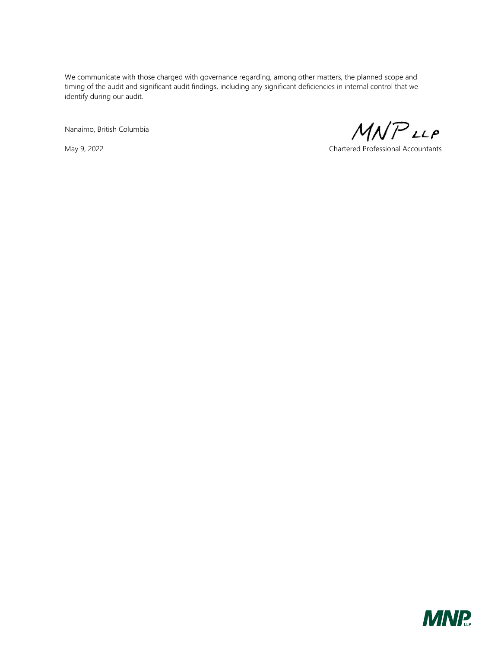We communicate with those charged with governance regarding, among other matters, the planned scope and timing of the audit and significant audit findings, including any significant deficiencies in internal control that we identify during our audit.

Nanaimo, British Columbia

 $MNPLLP$ 

May 9, 2022 Chartered Professional Accountants

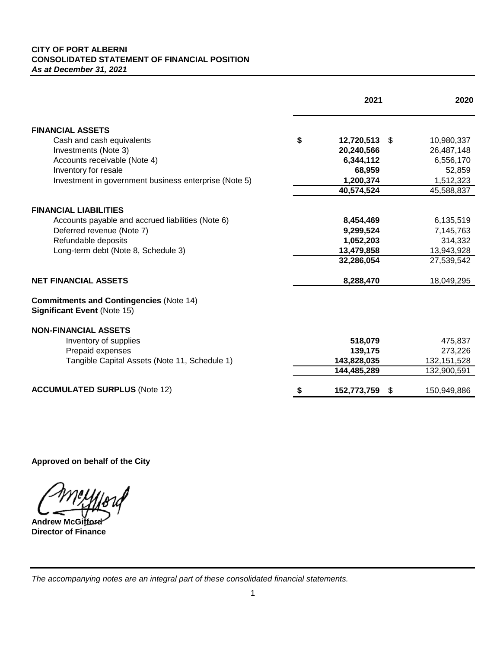#### **CITY OF PORT ALBERNI CONSOLIDATED STATEMENT OF FINANCIAL POSITION**  *As at December 31, 2021*

|                                                                                      | 2021                | 2020          |
|--------------------------------------------------------------------------------------|---------------------|---------------|
| <b>FINANCIAL ASSETS</b>                                                              |                     |               |
| Cash and cash equivalents                                                            | \$<br>12,720,513 \$ | 10,980,337    |
| Investments (Note 3)                                                                 | 20,240,566          | 26,487,148    |
| Accounts receivable (Note 4)                                                         | 6,344,112           | 6,556,170     |
| Inventory for resale                                                                 | 68,959              | 52,859        |
| Investment in government business enterprise (Note 5)                                | 1,200,374           | 1,512,323     |
|                                                                                      | 40,574,524          | 45,588,837    |
| <b>FINANCIAL LIABILITIES</b>                                                         |                     |               |
| Accounts payable and accrued liabilities (Note 6)                                    | 8,454,469           | 6,135,519     |
| Deferred revenue (Note 7)                                                            | 9,299,524           | 7,145,763     |
| Refundable deposits                                                                  | 1,052,203           | 314,332       |
| Long-term debt (Note 8, Schedule 3)                                                  | 13,479,858          | 13,943,928    |
|                                                                                      | 32,286,054          | 27,539,542    |
| <b>NET FINANCIAL ASSETS</b>                                                          | 8,288,470           | 18,049,295    |
| <b>Commitments and Contingencies (Note 14)</b><br><b>Significant Event (Note 15)</b> |                     |               |
| <b>NON-FINANCIAL ASSETS</b>                                                          |                     |               |
| Inventory of supplies                                                                | 518,079             | 475,837       |
| Prepaid expenses                                                                     | 139,175             | 273,226       |
| Tangible Capital Assets (Note 11, Schedule 1)                                        | 143,828,035         | 132, 151, 528 |
|                                                                                      | 144,485,289         | 132,900,591   |
| <b>ACCUMULATED SURPLUS (Note 12)</b>                                                 | 152,773,759<br>\$   | 150,949,886   |

**Approved on behalf of the City**

**Andrew McGifford Director of Finance**

*The accompanying notes are an integral part of these consolidated financial statements.*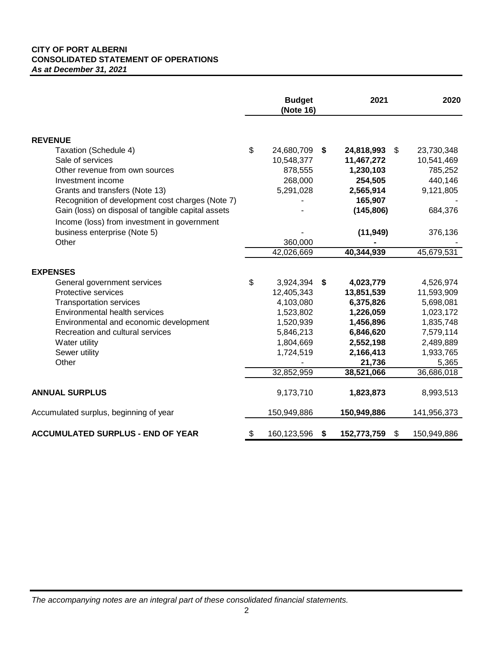#### **CITY OF PORT ALBERNI CONSOLIDATED STATEMENT OF OPERATIONS** *As at December 31, 2021*

|                                                                                                                                                                                                                                                                                                               | <b>Budget</b><br>(Note 16) |                                                                                                                        |      | 2021                                                                                                                          |    | 2020                                                                                                                         |
|---------------------------------------------------------------------------------------------------------------------------------------------------------------------------------------------------------------------------------------------------------------------------------------------------------------|----------------------------|------------------------------------------------------------------------------------------------------------------------|------|-------------------------------------------------------------------------------------------------------------------------------|----|------------------------------------------------------------------------------------------------------------------------------|
| <b>REVENUE</b><br>Taxation (Schedule 4)<br>Sale of services<br>Other revenue from own sources<br>Investment income<br>Grants and transfers (Note 13)<br>Recognition of development cost charges (Note 7)<br>Gain (loss) on disposal of tangible capital assets<br>Income (loss) from investment in government | \$                         | 24,680,709<br>10,548,377<br>878,555<br>268,000<br>5,291,028                                                            | - \$ | 24,818,993<br>11,467,272<br>1,230,103<br>254,505<br>2,565,914<br>165,907<br>(145, 806)                                        | S. | 23,730,348<br>10,541,469<br>785,252<br>440,146<br>9,121,805<br>684,376                                                       |
| business enterprise (Note 5)<br>Other                                                                                                                                                                                                                                                                         |                            | 360,000<br>42,026,669                                                                                                  |      | (11, 949)<br>40,344,939                                                                                                       |    | 376,136<br>45,679,531                                                                                                        |
| <b>EXPENSES</b><br>General government services<br>Protective services<br><b>Transportation services</b><br>Environmental health services<br>Environmental and economic development<br>Recreation and cultural services<br>Water utility<br>Sewer utility<br>Other                                             | \$                         | 3,924,394 \$<br>12,405,343<br>4,103,080<br>1,523,802<br>1,520,939<br>5,846,213<br>1,804,669<br>1,724,519<br>32,852,959 |      | 4,023,779<br>13,851,539<br>6,375,826<br>1,226,059<br>1,456,896<br>6,846,620<br>2,552,198<br>2,166,413<br>21,736<br>38,521,066 |    | 4,526,974<br>11,593,909<br>5,698,081<br>1,023,172<br>1,835,748<br>7,579,114<br>2,489,889<br>1,933,765<br>5,365<br>36,686,018 |
| <b>ANNUAL SURPLUS</b><br>Accumulated surplus, beginning of year                                                                                                                                                                                                                                               |                            | 9,173,710<br>150,949,886                                                                                               |      | 1,823,873<br>150,949,886                                                                                                      |    | 8,993,513<br>141,956,373                                                                                                     |
| <b>ACCUMULATED SURPLUS - END OF YEAR</b>                                                                                                                                                                                                                                                                      | \$                         | 160,123,596                                                                                                            | \$   | 152,773,759                                                                                                                   | \$ | 150,949,886                                                                                                                  |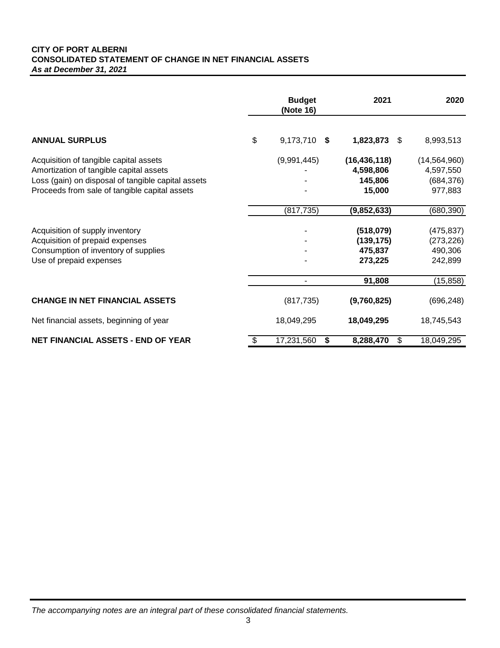#### **CITY OF PORT ALBERNI CONSOLIDATED STATEMENT OF CHANGE IN NET FINANCIAL ASSETS**  *As at December 31, 2021*

|                                                                                                                                                                                          | <b>Budget</b><br>(Note 16) | 2021                                             | 2020                                                 |
|------------------------------------------------------------------------------------------------------------------------------------------------------------------------------------------|----------------------------|--------------------------------------------------|------------------------------------------------------|
| <b>ANNUAL SURPLUS</b>                                                                                                                                                                    | \$<br>9,173,710<br>S.      | 1,823,873<br>- \$                                | 8,993,513                                            |
| Acquisition of tangible capital assets<br>Amortization of tangible capital assets<br>Loss (gain) on disposal of tangible capital assets<br>Proceeds from sale of tangible capital assets | (9,991,445)                | (16, 436, 118)<br>4,598,806<br>145,806<br>15,000 | (14, 564, 960)<br>4,597,550<br>(684, 376)<br>977,883 |
|                                                                                                                                                                                          | (817, 735)                 | (9,852,633)                                      | (680, 390)                                           |
| Acquisition of supply inventory<br>Acquisition of prepaid expenses<br>Consumption of inventory of supplies<br>Use of prepaid expenses                                                    |                            | (518,079)<br>(139, 175)<br>475,837<br>273,225    | (475, 837)<br>(273, 226)<br>490,306<br>242,899       |
|                                                                                                                                                                                          |                            | 91,808                                           | (15, 858)                                            |
| <b>CHANGE IN NET FINANCIAL ASSETS</b>                                                                                                                                                    | (817, 735)                 | (9,760,825)                                      | (696, 248)                                           |
| Net financial assets, beginning of year                                                                                                                                                  | 18,049,295                 | 18,049,295                                       | 18,745,543                                           |
| <b>NET FINANCIAL ASSETS - END OF YEAR</b>                                                                                                                                                | \$<br>17,231,560<br>S      | 8,288,470<br>\$                                  | 18,049,295                                           |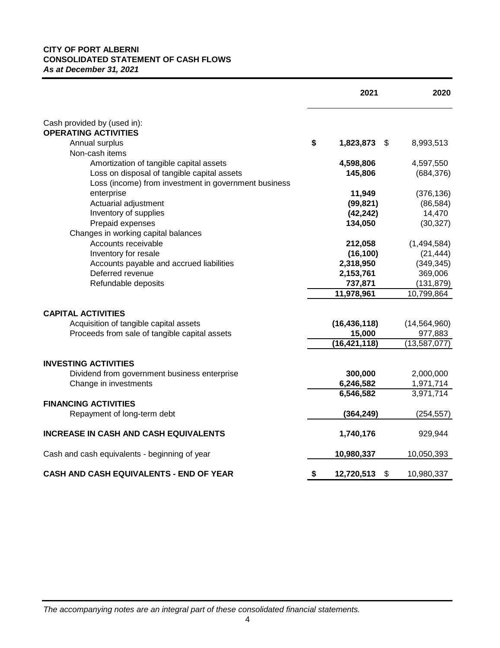#### **CITY OF PORT ALBERNI CONSOLIDATED STATEMENT OF CASH FLOWS**  *As at December 31, 2021*

|                                                              | 2021                 | 2020                    |
|--------------------------------------------------------------|----------------------|-------------------------|
| Cash provided by (used in):<br><b>OPERATING ACTIVITIES</b>   |                      |                         |
| Annual surplus                                               | \$<br>1,823,873      | \$<br>8,993,513         |
| Non-cash items                                               |                      |                         |
| Amortization of tangible capital assets                      | 4,598,806            | 4,597,550               |
| Loss on disposal of tangible capital assets                  | 145,806              | (684, 376)              |
| Loss (income) from investment in government business         |                      |                         |
| enterprise                                                   | 11,949               | (376, 136)              |
| Actuarial adjustment                                         | (99, 821)            | (86, 584)               |
| Inventory of supplies                                        | (42, 242)            | 14,470                  |
| Prepaid expenses                                             | 134,050              | (30, 327)               |
| Changes in working capital balances                          |                      |                         |
| Accounts receivable                                          | 212,058              | (1,494,584)             |
| Inventory for resale                                         | (16, 100)            | (21, 444)<br>(349, 345) |
| Accounts payable and accrued liabilities<br>Deferred revenue | 2,318,950            | 369,006                 |
| Refundable deposits                                          | 2,153,761<br>737,871 | (131, 879)              |
|                                                              | 11,978,961           | 10,799,864              |
|                                                              |                      |                         |
| <b>CAPITAL ACTIVITIES</b>                                    |                      |                         |
| Acquisition of tangible capital assets                       | (16, 436, 118)       | (14, 564, 960)          |
| Proceeds from sale of tangible capital assets                | 15,000               | 977,883                 |
|                                                              | (16, 421, 118)       | (13, 587, 077)          |
|                                                              |                      |                         |
| <b>INVESTING ACTIVITIES</b>                                  |                      |                         |
| Dividend from government business enterprise                 | 300,000              | 2,000,000               |
| Change in investments                                        | 6,246,582            | 1,971,714               |
|                                                              | 6,546,582            | 3,971,714               |
| <b>FINANCING ACTIVITIES</b>                                  |                      |                         |
| Repayment of long-term debt                                  | (364, 249)           | (254, 557)              |
| <b>INCREASE IN CASH AND CASH EQUIVALENTS</b>                 | 1,740,176            | 929,944                 |
| Cash and cash equivalents - beginning of year                | 10,980,337           | 10,050,393              |
| <b>CASH AND CASH EQUIVALENTS - END OF YEAR</b>               | \$<br>12,720,513     | \$<br>10,980,337        |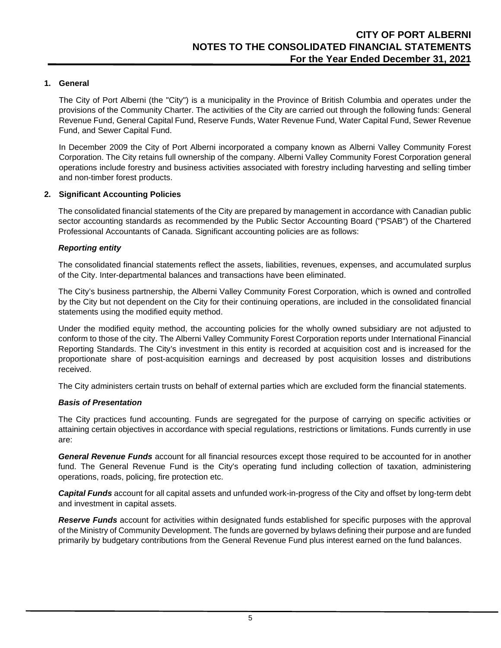# **1. General**

The City of Port Alberni (the "City") is a municipality in the Province of British Columbia and operates under the provisions of the Community Charter. The activities of the City are carried out through the following funds: General Revenue Fund, General Capital Fund, Reserve Funds, Water Revenue Fund, Water Capital Fund, Sewer Revenue Fund, and Sewer Capital Fund.

In December 2009 the City of Port Alberni incorporated a company known as Alberni Valley Community Forest Corporation. The City retains full ownership of the company. Alberni Valley Community Forest Corporation general operations include forestry and business activities associated with forestry including harvesting and selling timber and non-timber forest products.

## **2. Significant Accounting Policies**

The consolidated financial statements of the City are prepared by management in accordance with Canadian public sector accounting standards as recommended by the Public Sector Accounting Board ("PSAB") of the Chartered Professional Accountants of Canada. Significant accounting policies are as follows:

#### *Reporting entity*

The consolidated financial statements reflect the assets, liabilities, revenues, expenses, and accumulated surplus of the City. Inter-departmental balances and transactions have been eliminated.

The City's business partnership, the Alberni Valley Community Forest Corporation, which is owned and controlled by the City but not dependent on the City for their continuing operations, are included in the consolidated financial statements using the modified equity method.

Under the modified equity method, the accounting policies for the wholly owned subsidiary are not adjusted to conform to those of the city. The Alberni Valley Community Forest Corporation reports under International Financial Reporting Standards. The City's investment in this entity is recorded at acquisition cost and is increased for the proportionate share of post-acquisition earnings and decreased by post acquisition losses and distributions received.

The City administers certain trusts on behalf of external parties which are excluded form the financial statements.

#### *Basis of Presentation*

l

The City practices fund accounting. Funds are segregated for the purpose of carrying on specific activities or attaining certain objectives in accordance with special regulations, restrictions or limitations. Funds currently in use are:

*General Revenue Funds* account for all financial resources except those required to be accounted for in another fund. The General Revenue Fund is the City's operating fund including collection of taxation, administering operations, roads, policing, fire protection etc.

*Capital Funds* account for all capital assets and unfunded work-in-progress of the City and offset by long-term debt and investment in capital assets.

*Reserve Funds* account for activities within designated funds established for specific purposes with the approval of the Ministry of Community Development. The funds are governed by bylaws defining their purpose and are funded primarily by budgetary contributions from the General Revenue Fund plus interest earned on the fund balances.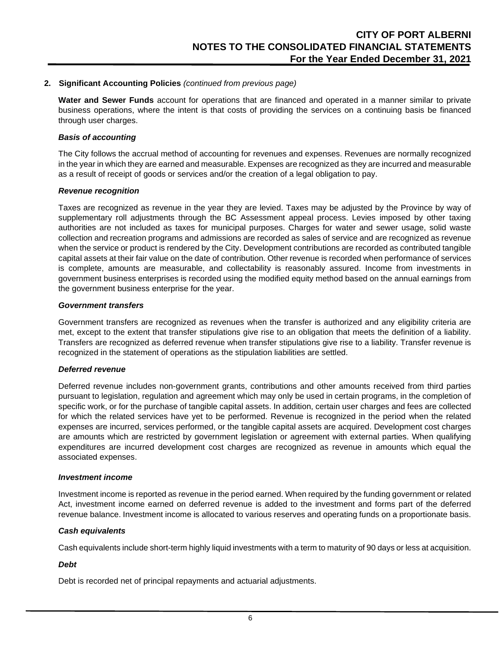#### **2. Significant Accounting Policies** *(continued from previous page)*

**Water and Sewer Funds** account for operations that are financed and operated in a manner similar to private business operations, where the intent is that costs of providing the services on a continuing basis be financed through user charges.

#### *Basis of accounting*

The City follows the accrual method of accounting for revenues and expenses. Revenues are normally recognized in the year in which they are earned and measurable. Expenses are recognized as they are incurred and measurable as a result of receipt of goods or services and/or the creation of a legal obligation to pay.

#### *Revenue recognition*

Taxes are recognized as revenue in the year they are levied. Taxes may be adjusted by the Province by way of supplementary roll adjustments through the BC Assessment appeal process. Levies imposed by other taxing authorities are not included as taxes for municipal purposes. Charges for water and sewer usage, solid waste collection and recreation programs and admissions are recorded as sales of service and are recognized as revenue when the service or product is rendered by the City. Development contributions are recorded as contributed tangible capital assets at their fair value on the date of contribution. Other revenue is recorded when performance of services is complete, amounts are measurable, and collectability is reasonably assured. Income from investments in government business enterprises is recorded using the modified equity method based on the annual earnings from the government business enterprise for the year.

#### *Government transfers*

Government transfers are recognized as revenues when the transfer is authorized and any eligibility criteria are met, except to the extent that transfer stipulations give rise to an obligation that meets the definition of a liability. Transfers are recognized as deferred revenue when transfer stipulations give rise to a liability. Transfer revenue is recognized in the statement of operations as the stipulation liabilities are settled.

#### *Deferred revenue*

Deferred revenue includes non-government grants, contributions and other amounts received from third parties pursuant to legislation, regulation and agreement which may only be used in certain programs, in the completion of specific work, or for the purchase of tangible capital assets. In addition, certain user charges and fees are collected for which the related services have yet to be performed. Revenue is recognized in the period when the related expenses are incurred, services performed, or the tangible capital assets are acquired. Development cost charges are amounts which are restricted by government legislation or agreement with external parties. When qualifying expenditures are incurred development cost charges are recognized as revenue in amounts which equal the associated expenses.

#### *Investment income*

Investment income is reported as revenue in the period earned. When required by the funding government or related Act, investment income earned on deferred revenue is added to the investment and forms part of the deferred revenue balance. Investment income is allocated to various reserves and operating funds on a proportionate basis.

#### *Cash equivalents*

Cash equivalents include short-term highly liquid investments with a term to maturity of 90 days or less at acquisition.

#### *Debt*

l

Debt is recorded net of principal repayments and actuarial adjustments.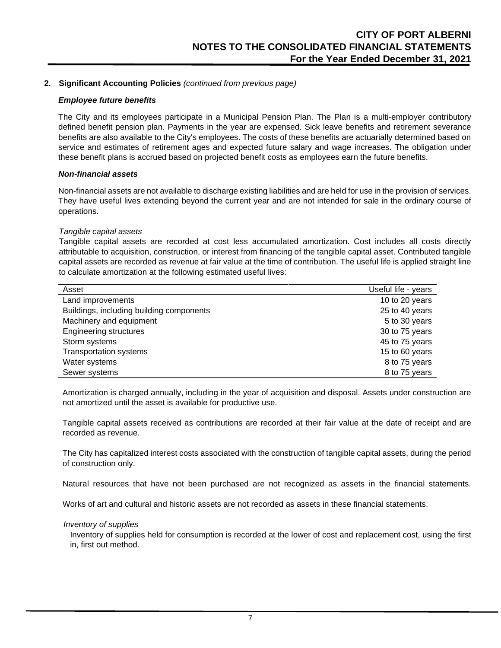#### **2. Significant Accounting Policies** *(continued from previous page)*

#### *Employee future benefits*

The City and its employees participate in a Municipal Pension Plan. The Plan is a multi-employer contributory defined benefit pension plan. Payments in the year are expensed. Sick leave benefits and retirement severance benefits are also available to the City's employees. The costs of these benefits are actuarially determined based on service and estimates of retirement ages and expected future salary and wage increases. The obligation under these benefit plans is accrued based on projected benefit costs as employees earn the future benefits.

#### *Non-financial assets*

Non-financial assets are not available to discharge existing liabilities and are held for use in the provision of services. They have useful lives extending beyond the current year and are not intended for sale in the ordinary course of operations.

#### *Tangible capital assets*

Tangible capital assets are recorded at cost less accumulated amortization. Cost includes all costs directly attributable to acquisition, construction, or interest from financing of the tangible capital asset. Contributed tangible capital assets are recorded as revenue at fair value at the time of contribution. The useful life is applied straight line to calculate amortization at the following estimated useful lives:

| Asset                                    | Useful life - years |
|------------------------------------------|---------------------|
| Land improvements                        | 10 to 20 years      |
| Buildings, including building components | 25 to 40 years      |
| Machinery and equipment                  | 5 to 30 years       |
| <b>Engineering structures</b>            | 30 to 75 years      |
| Storm systems                            | 45 to 75 years      |
| Transportation systems                   | 15 to 60 years      |
| Water systems                            | 8 to 75 years       |
| Sewer systems                            | 8 to 75 years       |

Amortization is charged annually, including in the year of acquisition and disposal. Assets under construction are not amortized until the asset is available for productive use.

Tangible capital assets received as contributions are recorded at their fair value at the date of receipt and are recorded as revenue.

The City has capitalized interest costs associated with the construction of tangible capital assets, during the period of construction only.

Natural resources that have not been purchased are not recognized as assets in the financial statements.

Works of art and cultural and historic assets are not recorded as assets in these financial statements.

#### *Inventory of supplies*

l

Inventory of supplies held for consumption is recorded at the lower of cost and replacement cost, using the first in, first out method.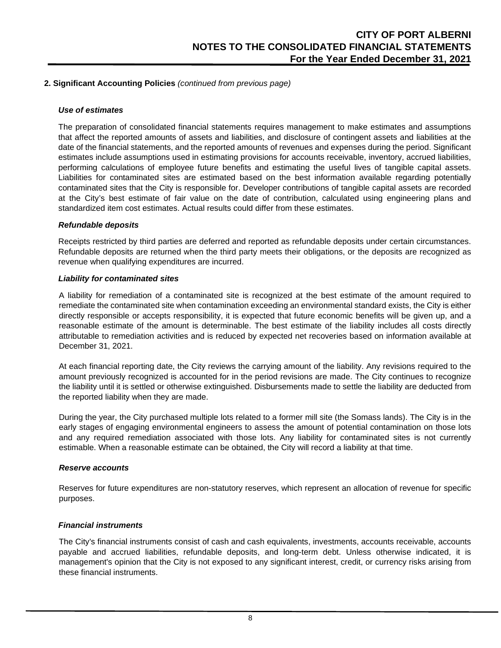## **2. Significant Accounting Policies** *(continued from previous page)*

#### *Use of estimates*

The preparation of consolidated financial statements requires management to make estimates and assumptions that affect the reported amounts of assets and liabilities, and disclosure of contingent assets and liabilities at the date of the financial statements, and the reported amounts of revenues and expenses during the period. Significant estimates include assumptions used in estimating provisions for accounts receivable, inventory, accrued liabilities, performing calculations of employee future benefits and estimating the useful lives of tangible capital assets. Liabilities for contaminated sites are estimated based on the best information available regarding potentially contaminated sites that the City is responsible for. Developer contributions of tangible capital assets are recorded at the City's best estimate of fair value on the date of contribution, calculated using engineering plans and standardized item cost estimates. Actual results could differ from these estimates.

#### *Refundable deposits*

Receipts restricted by third parties are deferred and reported as refundable deposits under certain circumstances. Refundable deposits are returned when the third party meets their obligations, or the deposits are recognized as revenue when qualifying expenditures are incurred.

#### *Liability for contaminated sites*

A liability for remediation of a contaminated site is recognized at the best estimate of the amount required to remediate the contaminated site when contamination exceeding an environmental standard exists, the City is either directly responsible or accepts responsibility, it is expected that future economic benefits will be given up, and a reasonable estimate of the amount is determinable. The best estimate of the liability includes all costs directly attributable to remediation activities and is reduced by expected net recoveries based on information available at December 31, 2021.

At each financial reporting date, the City reviews the carrying amount of the liability. Any revisions required to the amount previously recognized is accounted for in the period revisions are made. The City continues to recognize the liability until it is settled or otherwise extinguished. Disbursements made to settle the liability are deducted from the reported liability when they are made.

During the year, the City purchased multiple lots related to a former mill site (the Somass lands). The City is in the early stages of engaging environmental engineers to assess the amount of potential contamination on those lots and any required remediation associated with those lots. Any liability for contaminated sites is not currently estimable. When a reasonable estimate can be obtained, the City will record a liability at that time.

#### *Reserve accounts*

Reserves for future expenditures are non-statutory reserves, which represent an allocation of revenue for specific purposes.

#### *Financial instruments*

l

The City's financial instruments consist of cash and cash equivalents, investments, accounts receivable, accounts payable and accrued liabilities, refundable deposits, and long-term debt. Unless otherwise indicated, it is management's opinion that the City is not exposed to any significant interest, credit, or currency risks arising from these financial instruments.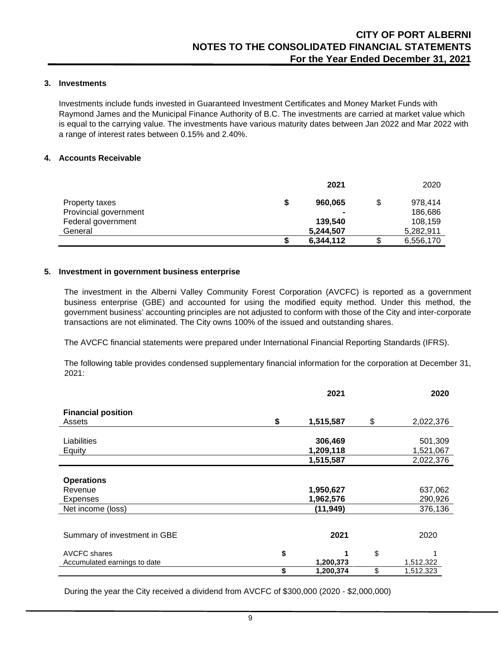#### **3. Investments**

l

Investments include funds invested in Guaranteed Investment Certificates and Money Market Funds with Raymond James and the Municipal Finance Authority of B.C. The investments are carried at market value which is equal to the carrying value. The investments have various maturity dates between Jan 2022 and Mar 2022 with a range of interest rates between 0.15% and 2.40%.

#### **4. Accounts Receivable**

|                       |   | 2021      |   | 2020      |
|-----------------------|---|-----------|---|-----------|
| Property taxes        | S | 960.065   | S | 978.414   |
| Provincial government |   |           |   | 186,686   |
| Federal government    |   | 139.540   |   | 108,159   |
| General               |   | 5,244,507 |   | 5,282,911 |
|                       |   | 6,344,112 |   | 6,556,170 |

#### **5. Investment in government business enterprise**

The investment in the Alberni Valley Community Forest Corporation (AVCFC) is reported as a government business enterprise (GBE) and accounted for using the modified equity method. Under this method, the government business' accounting principles are not adjusted to conform with those of the City and inter-corporate transactions are not eliminated. The City owns 100% of the issued and outstanding shares.

The AVCFC financial statements were prepared under International Financial Reporting Standards (IFRS).

The following table provides condensed supplementary financial information for the corporation at December 31, 2021:

|                              | 2021                         | 2020            |
|------------------------------|------------------------------|-----------------|
| <b>Financial position</b>    |                              |                 |
| Assets                       | \$<br>1,515,587              | \$<br>2,022,376 |
|                              |                              |                 |
| Liabilities                  | 306,469                      | 501,309         |
| Equity                       | 1,209,118                    | 1,521,067       |
|                              | 1,515,587                    | 2,022,376       |
|                              |                              |                 |
| <b>Operations</b>            |                              |                 |
| Revenue                      | 1,950,627                    | 637,062         |
| <b>Expenses</b>              | 1,962,576                    | 290,926         |
| Net income (loss)            | (11, 949)                    | 376,136         |
|                              |                              |                 |
|                              |                              |                 |
| Summary of investment in GBE | 2021                         | 2020            |
|                              |                              |                 |
| <b>AVCFC</b> shares          | \$<br>1                      | \$<br>1,512,322 |
| Accumulated earnings to date | \$<br>1,200,373<br>1,200,374 | \$<br>1,512,323 |
|                              |                              |                 |

During the year the City received a dividend from AVCFC of \$300,000 (2020 - \$2,000,000)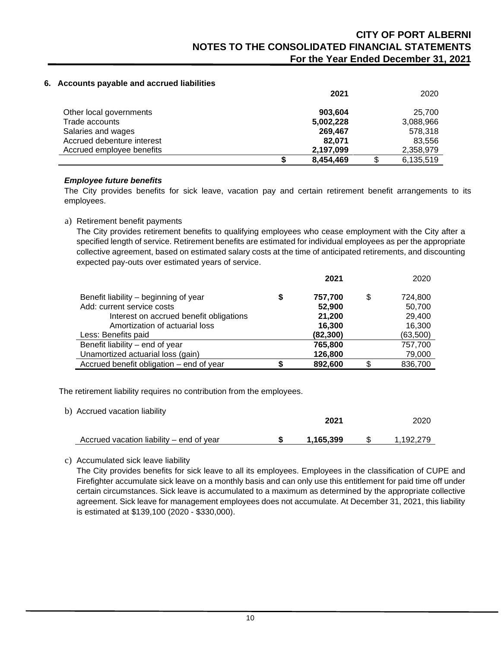# **CITY OF PORT ALBERNI NOTES TO THE CONSOLIDATED FINANCIAL STATEMENTS For the Year Ended December 31, 2021**

#### **6. Accounts payable and accrued liabilities**

|                            | 2021      | 2020            |
|----------------------------|-----------|-----------------|
| Other local governments    | 903,604   | 25,700          |
| Trade accounts             | 5,002,228 | 3,088,966       |
| Salaries and wages         | 269,467   | 578,318         |
| Accrued debenture interest | 82.071    | 83.556          |
| Accrued employee benefits  | 2,197,099 | 2,358,979       |
|                            | 8,454,469 | \$<br>6,135,519 |

#### *Employee future benefits*

The City provides benefits for sick leave, vacation pay and certain retirement benefit arrangements to its employees.

#### a) Retirement benefit payments

The City provides retirement benefits to qualifying employees who cease employment with the City after a specified length of service. Retirement benefits are estimated for individual employees as per the appropriate collective agreement, based on estimated salary costs at the time of anticipated retirements, and discounting expected pay-outs over estimated years of service.

|                                          | 2021          |    | 2020      |
|------------------------------------------|---------------|----|-----------|
| Benefit liability – beginning of year    | \$<br>757,700 | S  | 724,800   |
| Add: current service costs               | 52,900        |    | 50,700    |
| Interest on accrued benefit obligations  | 21,200        |    | 29,400    |
| Amortization of actuarial loss           | 16,300        |    | 16,300    |
| Less: Benefits paid                      | (82, 300)     |    | (63, 500) |
| Benefit liability – end of year          | 765,800       |    | 757,700   |
| Unamortized actuarial loss (gain)        | 126,800       |    | 79,000    |
| Accrued benefit obligation – end of year | 892,600       | £. | 836,700   |

The retirement liability requires no contribution from the employees.

| b) Accrued vacation liability            |           |           |
|------------------------------------------|-----------|-----------|
|                                          | 2021      | 2020      |
| Accrued vacation liability – end of year | 1.165.399 | 1.192.279 |

c) Accumulated sick leave liability

l

The City provides benefits for sick leave to all its employees. Employees in the classification of CUPE and Firefighter accumulate sick leave on a monthly basis and can only use this entitlement for paid time off under certain circumstances. Sick leave is accumulated to a maximum as determined by the appropriate collective agreement. Sick leave for management employees does not accumulate. At December 31, 2021, this liability is estimated at \$139,100 (2020 - \$330,000).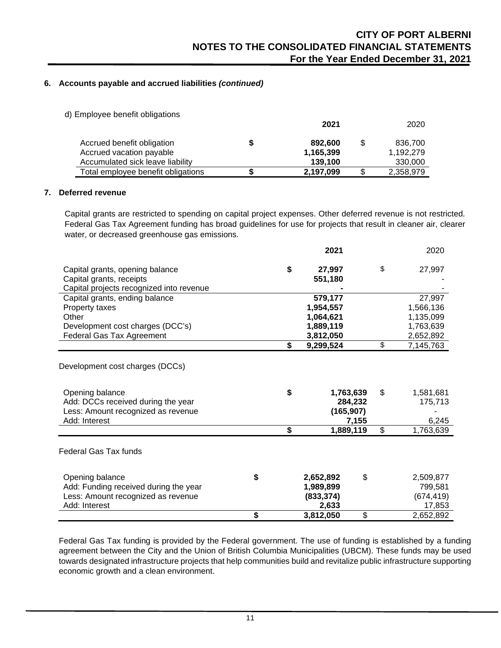# **6. Accounts payable and accrued liabilities** *(continued)*

d) Employee benefit obligations

|                                    |   | 2021      |   | 2020      |
|------------------------------------|---|-----------|---|-----------|
| Accrued benefit obligation         | S | 892.600   |   | 836,700   |
| Accrued vacation payable           |   | 1,165,399 |   | 1.192.279 |
| Accumulated sick leave liability   |   | 139.100   |   | 330,000   |
| Total employee benefit obligations |   | 2,197,099 | S | 2,358,979 |

#### **7. Deferred revenue**

ׇׅ֬

Capital grants are restricted to spending on capital project expenses. Other deferred revenue is not restricted. Federal Gas Tax Agreement funding has broad guidelines for use for projects that result in cleaner air, clearer water, or decreased greenhouse gas emissions.

|                                                                                             |    | 2021                               | 2020                       |
|---------------------------------------------------------------------------------------------|----|------------------------------------|----------------------------|
| Capital grants, opening balance                                                             | \$ | 27,997                             | \$<br>27,997               |
| Capital grants, receipts                                                                    |    | 551,180                            |                            |
| Capital projects recognized into revenue                                                    |    |                                    |                            |
| Capital grants, ending balance                                                              |    | 579,177                            | 27,997                     |
| Property taxes                                                                              |    | 1,954,557                          | 1,566,136                  |
| Other                                                                                       |    | 1,064,621                          | 1,135,099                  |
| Development cost charges (DCC's)                                                            |    | 1,889,119                          | 1,763,639                  |
| Federal Gas Tax Agreement                                                                   |    | 3,812,050                          | 2,652,892                  |
|                                                                                             | \$ | 9,299,524                          | \$<br>7,145,763            |
| Development cost charges (DCCs)                                                             |    |                                    |                            |
| Opening balance<br>Add: DCCs received during the year<br>Less: Amount recognized as revenue | \$ | 1,763,639<br>284,232<br>(165, 907) | \$<br>1,581,681<br>175,713 |
| Add: Interest                                                                               |    | 7,155                              | 6,245                      |
|                                                                                             | \$ | 1,889,119                          | \$<br>1,763,639            |
| Federal Gas Tax funds                                                                       |    |                                    |                            |
| Opening balance                                                                             | \$ | 2,652,892                          | \$<br>2,509,877            |
| Add: Funding received during the year                                                       |    | 1,989,899                          | 799,581                    |
| Less: Amount recognized as revenue                                                          |    | (833, 374)                         | (674, 419)                 |
| Add: Interest                                                                               |    | 2,633                              | 17,853                     |
|                                                                                             | \$ | 3,812,050                          | \$<br>2,652,892            |

Federal Gas Tax funding is provided by the Federal government. The use of funding is established by a funding agreement between the City and the Union of British Columbia Municipalities (UBCM). These funds may be used towards designated infrastructure projects that help communities build and revitalize public infrastructure supporting economic growth and a clean environment.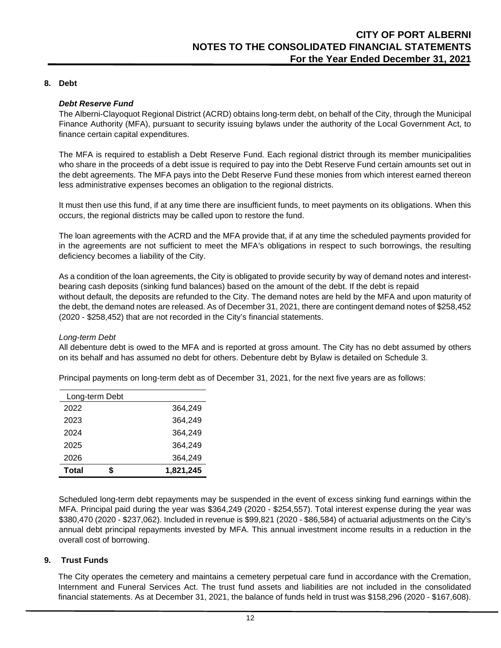#### **8. Debt**

#### *Debt Reserve Fund*

The Alberni-Clayoquot Regional District (ACRD) obtains long-term debt, on behalf of the City, through the Municipal Finance Authority (MFA), pursuant to security issuing bylaws under the authority of the Local Government Act, to finance certain capital expenditures.

The MFA is required to establish a Debt Reserve Fund. Each regional district through its member municipalities who share in the proceeds of a debt issue is required to pay into the Debt Reserve Fund certain amounts set out in the debt agreements. The MFA pays into the Debt Reserve Fund these monies from which interest earned thereon less administrative expenses becomes an obligation to the regional districts.

It must then use this fund, if at any time there are insufficient funds, to meet payments on its obligations. When this occurs, the regional districts may be called upon to restore the fund.

The loan agreements with the ACRD and the MFA provide that, if at any time the scheduled payments provided for in the agreements are not sufficient to meet the MFA's obligations in respect to such borrowings, the resulting deficiency becomes a liability of the City.

As a condition of the loan agreements, the City is obligated to provide security by way of demand notes and interestbearing cash deposits (sinking fund balances) based on the amount of the debt. If the debt is repaid without default, the deposits are refunded to the City. The demand notes are held by the MFA and upon maturity of the debt, the demand notes are released. As of December 31, 2021, there are contingent demand notes of \$258,452 (2020 - \$258,452) that are not recorded in the City's financial statements.

#### *Long-term Debt*

All debenture debt is owed to the MFA and is reported at gross amount. The City has no debt assumed by others on its behalf and has assumed no debt for others. Debenture debt by Bylaw is detailed on Schedule 3.

|       | Long-term Debt |           |
|-------|----------------|-----------|
| 2022  |                | 364,249   |
| 2023  |                | 364.249   |
| 2024  |                | 364,249   |
| 2025  |                | 364,249   |
| 2026  |                | 364,249   |
| Total |                | 1,821,245 |

Principal payments on long-term debt as of December 31, 2021, for the next five years are as follows:

Scheduled long-term debt repayments may be suspended in the event of excess sinking fund earnings within the MFA. Principal paid during the year was \$364,249 (2020 - \$254,557). Total interest expense during the year was \$380,470 (2020 - \$237,062). Included in revenue is \$99,821 (2020 - \$86,584) of actuarial adjustments on the City's annual debt principal repayments invested by MFA. This annual investment income results in a reduction in the overall cost of borrowing.

#### **9. Trust Funds**

ׇׅ֬

The City operates the cemetery and maintains a cemetery perpetual care fund in accordance with the Cremation, Internment and Funeral Services Act. The trust fund assets and liabilities are not included in the consolidated financial statements. As at December 31, 2021, the balance of funds held in trust was \$158,296 (2020 - \$167,608).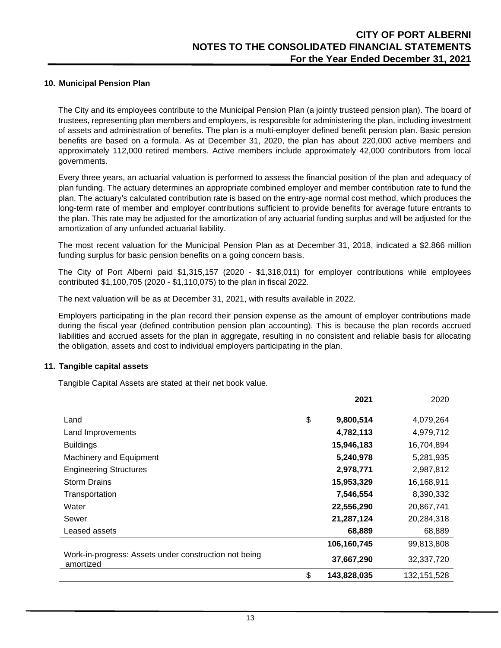#### **10. Municipal Pension Plan**

The City and its employees contribute to the Municipal Pension Plan (a jointly trusteed pension plan). The board of trustees, representing plan members and employers, is responsible for administering the plan, including investment of assets and administration of benefits. The plan is a multi-employer defined benefit pension plan. Basic pension benefits are based on a formula. As at December 31, 2020, the plan has about 220,000 active members and approximately 112,000 retired members. Active members include approximately 42,000 contributors from local governments.

Every three years, an actuarial valuation is performed to assess the financial position of the plan and adequacy of plan funding. The actuary determines an appropriate combined employer and member contribution rate to fund the plan. The actuary's calculated contribution rate is based on the entry-age normal cost method, which produces the long-term rate of member and employer contributions sufficient to provide benefits for average future entrants to the plan. This rate may be adjusted for the amortization of any actuarial funding surplus and will be adjusted for the amortization of any unfunded actuarial liability.

The most recent valuation for the Municipal Pension Plan as at December 31, 2018, indicated a \$2.866 million funding surplus for basic pension benefits on a going concern basis.

The City of Port Alberni paid \$1,315,157 (2020 - \$1,318,011) for employer contributions while employees contributed \$1,100,705 (2020 - \$1,110,075) to the plan in fiscal 2022.

The next valuation will be as at December 31, 2021, with results available in 2022.

Employers participating in the plan record their pension expense as the amount of employer contributions made during the fiscal year (defined contribution pension plan accounting). This is because the plan records accrued liabilities and accrued assets for the plan in aggregate, resulting in no consistent and reliable basis for allocating the obligation, assets and cost to individual employers participating in the plan.

#### **11. Tangible capital assets**

ׇׅ֬

Tangible Capital Assets are stated at their net book value.

|                                                                    | 2021              | 2020        |
|--------------------------------------------------------------------|-------------------|-------------|
| Land                                                               | \$<br>9,800,514   | 4,079,264   |
| Land Improvements                                                  | 4,782,113         | 4,979,712   |
| <b>Buildings</b>                                                   | 15,946,183        | 16,704,894  |
| Machinery and Equipment                                            | 5,240,978         | 5,281,935   |
| <b>Engineering Structures</b>                                      | 2,978,771         | 2,987,812   |
| <b>Storm Drains</b>                                                | 15,953,329        | 16,168,911  |
| Transportation                                                     | 7,546,554         | 8,390,332   |
| Water                                                              | 22,556,290        | 20,867,741  |
| Sewer                                                              | 21,287,124        | 20,284,318  |
| Leased assets                                                      | 68,889            | 68,889      |
|                                                                    | 106,160,745       | 99,813,808  |
| Work-in-progress: Assets under construction not being<br>amortized | 37,667,290        | 32,337,720  |
|                                                                    | \$<br>143,828,035 | 132.151.528 |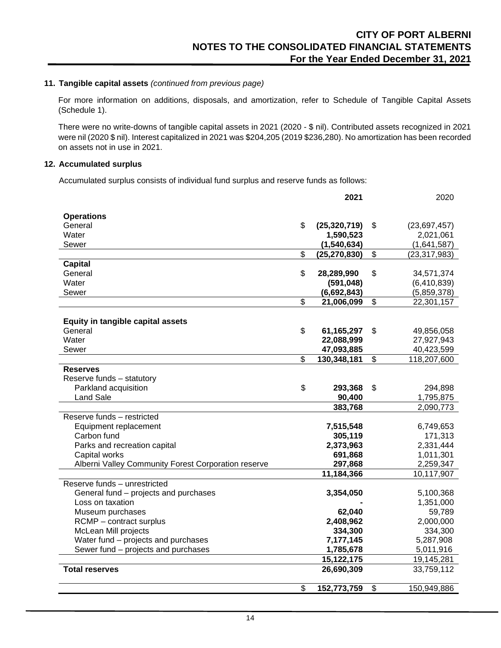#### **11. Tangible capital assets** *(continued from previous page)*

For more information on additions, disposals, and amortization, refer to Schedule of Tangible Capital Assets (Schedule 1).

There were no write-downs of tangible capital assets in 2021 (2020 - \$ nil). Contributed assets recognized in 2021 were nil (2020 \$ nil). Interest capitalized in 2021 was \$204,205 (2019 \$236,280). No amortization has been recorded on assets not in use in 2021.

#### **12. Accumulated surplus**

ׇׅ֬

Accumulated surplus consists of individual fund surplus and reserve funds as follows:

|                                                     | 2021                 |                           | 2020           |
|-----------------------------------------------------|----------------------|---------------------------|----------------|
| <b>Operations</b>                                   |                      |                           |                |
| General                                             | \$<br>(25, 320, 719) | \$                        | (23,697,457)   |
| Water                                               | 1,590,523            |                           | 2,021,061      |
| Sewer                                               | (1,540,634)          |                           | (1,641,587)    |
|                                                     | \$<br>(25, 270, 830) | \$                        | (23, 317, 983) |
| <b>Capital</b>                                      |                      |                           |                |
| General                                             | \$<br>28,289,990     | \$                        | 34,571,374     |
| Water                                               | (591, 048)           |                           | (6,410,839)    |
| Sewer                                               | (6,692,843)          |                           | (5,859,378)    |
|                                                     | \$<br>21,006,099     | \$                        | 22,301,157     |
|                                                     |                      |                           |                |
| Equity in tangible capital assets                   |                      |                           |                |
| General                                             | \$<br>61,165,297     | \$                        | 49,856,058     |
| Water                                               | 22,088,999           |                           | 27,927,943     |
| Sewer                                               | 47,093,885           |                           | 40,423,599     |
|                                                     | \$<br>130,348,181    | $\overline{\mathcal{S}}$  | 118,207,600    |
| <b>Reserves</b>                                     |                      |                           |                |
| Reserve funds - statutory                           |                      |                           |                |
| Parkland acquisition                                | \$<br>293,368        | $\boldsymbol{\mathsf{S}}$ | 294,898        |
| <b>Land Sale</b>                                    | 90,400               |                           | 1,795,875      |
|                                                     | 383,768              |                           | 2,090,773      |
| Reserve funds - restricted                          |                      |                           |                |
| Equipment replacement                               | 7,515,548            |                           | 6,749,653      |
| Carbon fund                                         | 305,119              |                           | 171,313        |
| Parks and recreation capital                        | 2,373,963            |                           | 2,331,444      |
| Capital works                                       | 691,868              |                           | 1,011,301      |
| Alberni Valley Community Forest Corporation reserve | 297,868              |                           | 2,259,347      |
|                                                     | 11,184,366           |                           | 10,117,907     |
| Reserve funds - unrestricted                        |                      |                           |                |
| General fund - projects and purchases               | 3,354,050            |                           | 5,100,368      |
| Loss on taxation                                    |                      |                           | 1,351,000      |
| Museum purchases                                    | 62,040               |                           | 59,789         |
| RCMP - contract surplus                             | 2,408,962            |                           | 2,000,000      |
| McLean Mill projects                                | 334,300              |                           | 334,300        |
| Water fund - projects and purchases                 | 7,177,145            |                           | 5,287,908      |
| Sewer fund - projects and purchases                 | 1,785,678            |                           | 5,011,916      |
|                                                     | 15,122,175           |                           | 19,145,281     |
| <b>Total reserves</b>                               | 26,690,309           |                           | 33,759,112     |
|                                                     | \$<br>152,773,759    | \$                        | 150,949,886    |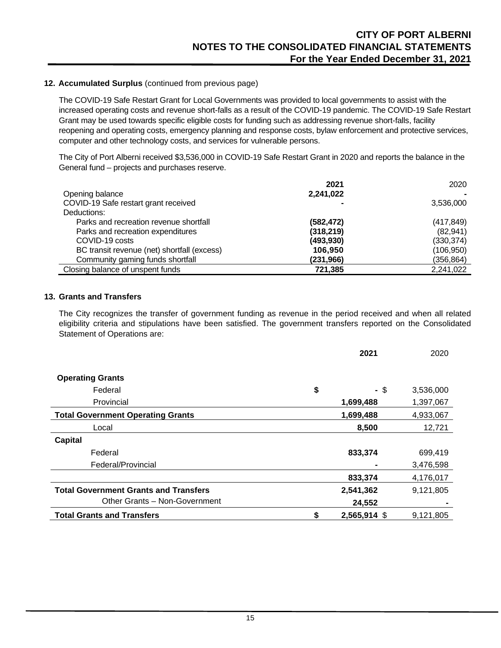# **12. Accumulated Surplus** (continued from previous page)

The COVID-19 Safe Restart Grant for Local Governments was provided to local governments to assist with the increased operating costs and revenue short-falls as a result of the COVID-19 pandemic. The COVID-19 Safe Restart Grant may be used towards specific eligible costs for funding such as addressing revenue short-falls, facility reopening and operating costs, emergency planning and response costs, bylaw enforcement and protective services, computer and other technology costs, and services for vulnerable persons.

The City of Port Alberni received \$3,536,000 in COVID-19 Safe Restart Grant in 2020 and reports the balance in the General fund – projects and purchases reserve.

|                                             | 2021       | 2020       |
|---------------------------------------------|------------|------------|
| Opening balance                             | 2,241,022  |            |
| COVID-19 Safe restart grant received        |            | 3,536,000  |
| Deductions:                                 |            |            |
| Parks and recreation revenue shortfall      | (582, 472) | (417, 849) |
| Parks and recreation expenditures           | (318, 219) | (82, 941)  |
| COVID-19 costs                              | (493, 930) | (330, 374) |
| BC transit revenue (net) shortfall (excess) | 106,950    | (106, 950) |
| Community gaming funds shortfall            | (231, 966) | (356,864)  |
| Closing balance of unspent funds            | 721,385    | 2,241,022  |

#### **13. Grants and Transfers**

ׇׅ֬

The City recognizes the transfer of government funding as revenue in the period received and when all related eligibility criteria and stipulations have been satisfied. The government transfers reported on the Consolidated Statement of Operations are:

|                                              | 2021               | 2020      |
|----------------------------------------------|--------------------|-----------|
|                                              |                    |           |
| <b>Operating Grants</b>                      |                    |           |
| Federal                                      | \$<br>-\$          | 3,536,000 |
| Provincial                                   | 1,699,488          | 1,397,067 |
| <b>Total Government Operating Grants</b>     | 1,699,488          | 4,933,067 |
| Local                                        | 8,500              | 12,721    |
| <b>Capital</b>                               |                    |           |
| Federal                                      | 833,374            | 699,419   |
| Federal/Provincial                           |                    | 3,476,598 |
|                                              | 833,374            | 4,176,017 |
| <b>Total Government Grants and Transfers</b> | 2,541,362          | 9,121,805 |
| Other Grants - Non-Government                | 24,552             |           |
| <b>Total Grants and Transfers</b>            | \$<br>2,565,914 \$ | 9,121,805 |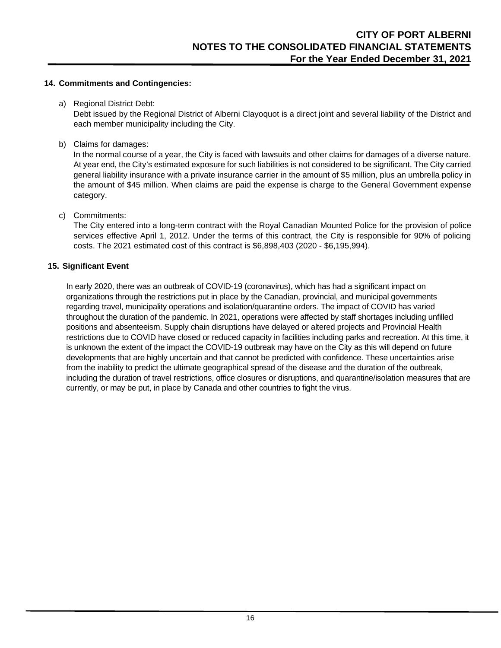#### **14. Commitments and Contingencies:**

a) Regional District Debt:

Debt issued by the Regional District of Alberni Clayoquot is a direct joint and several liability of the District and each member municipality including the City.

b) Claims for damages:

In the normal course of a year, the City is faced with lawsuits and other claims for damages of a diverse nature. At year end, the City's estimated exposure for such liabilities is not considered to be significant. The City carried general liability insurance with a private insurance carrier in the amount of \$5 million, plus an umbrella policy in the amount of \$45 million. When claims are paid the expense is charge to the General Government expense category.

c) Commitments:

The City entered into a long-term contract with the Royal Canadian Mounted Police for the provision of police services effective April 1, 2012. Under the terms of this contract, the City is responsible for 90% of policing costs. The 2021 estimated cost of this contract is \$6,898,403 (2020 - \$6,195,994).

## **15. Significant Event**

ׇׅ֬

In early 2020, there was an outbreak of COVID-19 (coronavirus), which has had a significant impact on organizations through the restrictions put in place by the Canadian, provincial, and municipal governments regarding travel, municipality operations and isolation/quarantine orders. The impact of COVID has varied throughout the duration of the pandemic. In 2021, operations were affected by staff shortages including unfilled positions and absenteeism. Supply chain disruptions have delayed or altered projects and Provincial Health restrictions due to COVID have closed or reduced capacity in facilities including parks and recreation. At this time, it is unknown the extent of the impact the COVID-19 outbreak may have on the City as this will depend on future developments that are highly uncertain and that cannot be predicted with confidence. These uncertainties arise from the inability to predict the ultimate geographical spread of the disease and the duration of the outbreak, including the duration of travel restrictions, office closures or disruptions, and quarantine/isolation measures that are currently, or may be put, in place by Canada and other countries to fight the virus.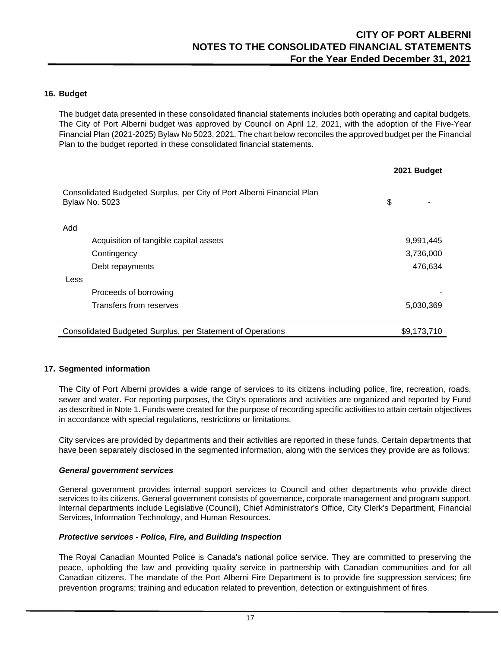#### **16. Budget**

The budget data presented in these consolidated financial statements includes both operating and capital budgets. The City of Port Alberni budget was approved by Council on April 12, 2021, with the adoption of the Five-Year Financial Plan (2021-2025) Bylaw No 5023, 2021. The chart below reconciles the approved budget per the Financial Plan to the budget reported in these consolidated financial statements.

|                                                                                                 | 2021 Budget |
|-------------------------------------------------------------------------------------------------|-------------|
| Consolidated Budgeted Surplus, per City of Port Alberni Financial Plan<br><b>Bylaw No. 5023</b> | \$          |
| Add                                                                                             |             |
| Acquisition of tangible capital assets                                                          | 9,991,445   |
| Contingency                                                                                     | 3,736,000   |
| Debt repayments                                                                                 | 476,634     |
| Less                                                                                            |             |
| Proceeds of borrowing                                                                           |             |
| Transfers from reserves                                                                         | 5,030,369   |
| Consolidated Budgeted Surplus, per Statement of Operations                                      | \$9,173,710 |

#### **17. Segmented information**

The City of Port Alberni provides a wide range of services to its citizens including police, fire, recreation, roads, sewer and water. For reporting purposes, the City's operations and activities are organized and reported by Fund as described in Note 1. Funds were created for the purpose of recording specific activities to attain certain objectives in accordance with special regulations, restrictions or limitations.

City services are provided by departments and their activities are reported in these funds. Certain departments that have been separately disclosed in the segmented information, along with the services they provide are as follows:

#### *General government services*

ׇׅ֬

General government provides internal support services to Council and other departments who provide direct services to its citizens. General government consists of governance, corporate management and program support. Internal departments include Legislative (Council), Chief Administrator's Office, City Clerk's Department, Financial Services, Information Technology, and Human Resources.

#### *Protective services - Police, Fire, and Building Inspection*

The Royal Canadian Mounted Police is Canada's national police service. They are committed to preserving the peace, upholding the law and providing quality service in partnership with Canadian communities and for all Canadian citizens. The mandate of the Port Alberni Fire Department is to provide fire suppression services; fire prevention programs; training and education related to prevention, detection or extinguishment of fires.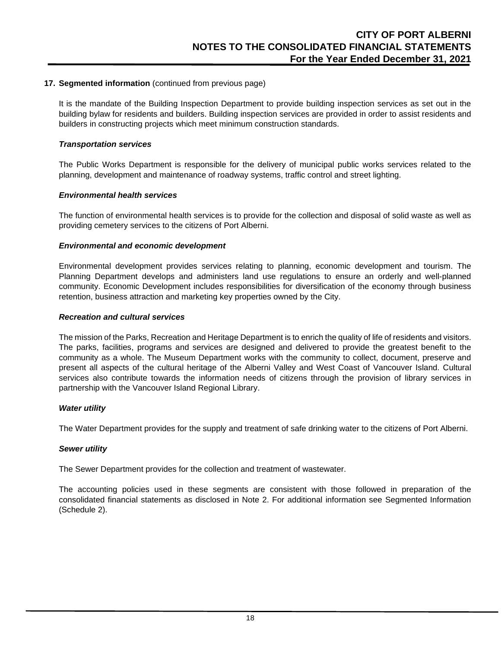#### **17. Segmented information** (continued from previous page)

It is the mandate of the Building Inspection Department to provide building inspection services as set out in the building bylaw for residents and builders. Building inspection services are provided in order to assist residents and builders in constructing projects which meet minimum construction standards.

#### *Transportation services*

The Public Works Department is responsible for the delivery of municipal public works services related to the planning, development and maintenance of roadway systems, traffic control and street lighting.

#### *Environmental health services*

The function of environmental health services is to provide for the collection and disposal of solid waste as well as providing cemetery services to the citizens of Port Alberni.

#### *Environmental and economic development*

Environmental development provides services relating to planning, economic development and tourism. The Planning Department develops and administers land use regulations to ensure an orderly and well-planned community. Economic Development includes responsibilities for diversification of the economy through business retention, business attraction and marketing key properties owned by the City.

#### *Recreation and cultural services*

The mission of the Parks, Recreation and Heritage Department is to enrich the quality of life of residents and visitors. The parks, facilities, programs and services are designed and delivered to provide the greatest benefit to the community as a whole. The Museum Department works with the community to collect, document, preserve and present all aspects of the cultural heritage of the Alberni Valley and West Coast of Vancouver Island. Cultural services also contribute towards the information needs of citizens through the provision of library services in partnership with the Vancouver Island Regional Library.

#### *Water utility*

The Water Department provides for the supply and treatment of safe drinking water to the citizens of Port Alberni.

#### *Sewer utility*

ׇׅ֬

The Sewer Department provides for the collection and treatment of wastewater.

The accounting policies used in these segments are consistent with those followed in preparation of the consolidated financial statements as disclosed in Note 2. For additional information see Segmented Information (Schedule 2).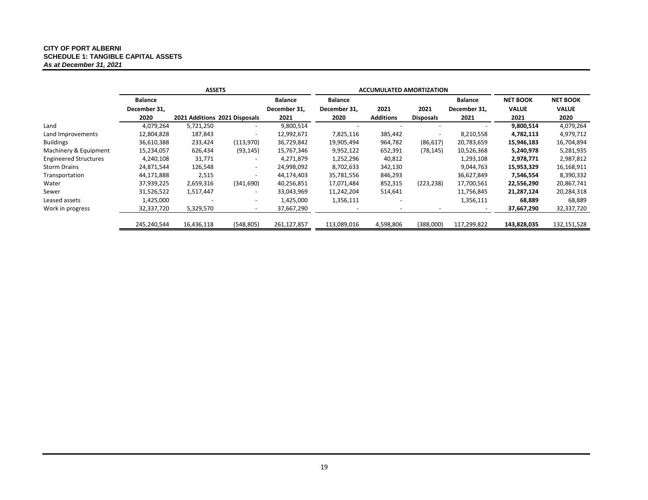#### **CITY OF PORT ALBERNI SCHEDULE 1: TANGIBLE CAPITAL ASSETS**  *As at December 31, 2021*

|                              |                                        | <b>ASSETS</b> |                               |                                        |                                        | <b>ACCUMULATED AMORTIZATION</b> |                          |                                        |                                         |                                  |
|------------------------------|----------------------------------------|---------------|-------------------------------|----------------------------------------|----------------------------------------|---------------------------------|--------------------------|----------------------------------------|-----------------------------------------|----------------------------------|
|                              | <b>Balance</b><br>December 31,<br>2020 |               | 2021 Additions 2021 Disposals | <b>Balance</b><br>December 31,<br>2021 | <b>Balance</b><br>December 31,<br>2020 | 2021<br><b>Additions</b>        | 2021<br><b>Disposals</b> | <b>Balance</b><br>December 31,<br>2021 | <b>NET BOOK</b><br><b>VALUE</b><br>2021 | <b>NET BOOK</b><br>VALUE<br>2020 |
| Land                         | 4,079,264                              | 5,721,250     | $\overline{\phantom{a}}$      | 9,800,514                              |                                        |                                 |                          |                                        | 9,800,514                               | 4,079,264                        |
| Land Improvements            | 12,804,828                             | 187,843       | $\overline{\phantom{a}}$      | 12,992,671                             | 7,825,116                              | 385,442                         |                          | 8,210,558                              | 4,782,113                               | 4,979,712                        |
| <b>Buildings</b>             | 36,610,388                             | 233,424       | (113,970)                     | 36,729,842                             | 19,905,494                             | 964,782                         | (86, 617)                | 20,783,659                             | 15,946,183                              | 16,704,894                       |
| Machinery & Equipment        | 15,234,057                             | 626,434       | (93, 145)                     | 15,767,346                             | 9,952,122                              | 652,391                         | (78, 145)                | 10,526,368                             | 5,240,978                               | 5,281,935                        |
| <b>Engineered Structures</b> | 4,240,108                              | 31,771        | -                             | 4,271,879                              | 1,252,296                              | 40,812                          |                          | 1,293,108                              | 2,978,771                               | 2,987,812                        |
| <b>Storm Drains</b>          | 24,871,544                             | 126,548       | $\overline{\phantom{a}}$      | 24,998,092                             | 8,702,633                              | 342,130                         |                          | 9,044,763                              | 15,953,329                              | 16,168,911                       |
| Transportation               | 44,171,888                             | 2,515         |                               | 44,174,403                             | 35,781,556                             | 846,293                         |                          | 36,627,849                             | 7,546,554                               | 8,390,332                        |
| Water                        | 37,939,225                             | 2,659,316     | (341,690)                     | 40,256,851                             | 17,071,484                             | 852,315                         | (223, 238)               | 17,700,561                             | 22,556,290                              | 20,867,741                       |
| Sewer                        | 31,526,522                             | 1,517,447     | $\overline{\phantom{a}}$      | 33,043,969                             | 11,242,204                             | 514,641                         |                          | 11,756,845                             | 21,287,124                              | 20,284,318                       |
| Leased assets                | 1,425,000                              |               | $\overline{\phantom{a}}$      | 1,425,000                              | 1,356,111                              | $\overline{\phantom{a}}$        |                          | 1,356,111                              | 68,889                                  | 68,889                           |
| Work in progress             | 32,337,720                             | 5,329,570     |                               | 37,667,290                             |                                        |                                 |                          |                                        | 37,667,290                              | 32,337,720                       |
|                              | 245,240,544                            | 16,436,118    | (548, 805)                    | 261,127,857                            | 113,089,016                            | 4,598,806                       | (388,000)                | 117,299,822                            | 143,828,035                             | 132,151,528                      |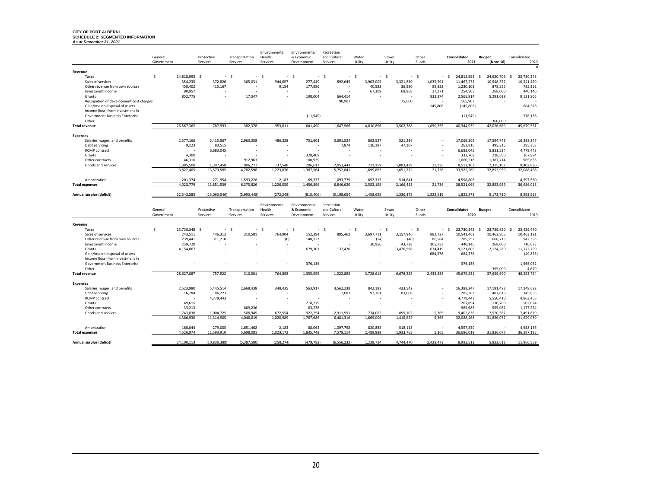# **CITY OF PORT ALBERNI SCHEDULE 2: SEGMENTED INFORMATION**  *As at December 31, 2021*

|                                                  | General<br>Government |                        | Protective<br>Services  | Transportation<br>Services | Environmental<br>Health<br>Services | Environmental<br>& Economic<br>Development | Recreation<br>and Cultural<br>Services          | Water<br>Utility                           | Sewer<br>Utility              | Other<br>Funds | Consolidated<br>2021    | <b>Budget</b><br>(Note 16) | Consolidated<br>2020    |
|--------------------------------------------------|-----------------------|------------------------|-------------------------|----------------------------|-------------------------------------|--------------------------------------------|-------------------------------------------------|--------------------------------------------|-------------------------------|----------------|-------------------------|----------------------------|-------------------------|
| Revenue                                          |                       |                        |                         |                            |                                     |                                            |                                                 |                                            |                               |                |                         |                            | $\Omega$                |
| Taxes                                            | Ś                     | 24,818,993 \$          | $\sim$                  | $\mathsf{s}$               | $\mathsf{S}$                        | s.                                         | $\ddot{\mathsf{s}}$<br>$\overline{\phantom{a}}$ | $\ddot{\mathsf{s}}$<br>$\bar{\phantom{a}}$ | $\ddot{\mathsf{s}}$<br>$\sim$ | \$             | $-5$<br>24,818,993 \$   | 24,680,709                 | -\$<br>23,730,348       |
| Sales of services                                |                       | 354,235                | 372,826                 | 365,031                    | 944,657                             | 277,449                                    | 892,645                                         | 3,903,005                                  | 3,321,830                     | 1,035,594      | 11,467,272              | 10,548,377                 | 10,541,469              |
| Other revenue from own sources                   |                       | 450,402                | 415,167                 |                            | 9,154                               | 177,986                                    |                                                 | 40,582                                     | 36,990                        | 99,822         | 1,230,103               | 878,555                    | 785,252                 |
| Investment income                                |                       | 90,957                 |                         |                            |                                     |                                            | ÷.                                              | 67,309                                     | 68,968                        | 27,271         | 254,505                 | 268,000                    | 440,146                 |
| Grants                                           |                       | 852,775                |                         | 17,347                     |                                     | 198,004                                    | 664,414                                         |                                            |                               | 833,374        | 2,565,914               | 5,291,028                  | 9,121,805               |
| Recognition of development cost charges          |                       |                        |                         |                            |                                     |                                            | 90,907                                          |                                            | 75,000                        |                | 165,907                 |                            |                         |
| Gain/loss on disposal of assets                  |                       |                        |                         |                            |                                     |                                            |                                                 |                                            | $\sim$                        | 145,806        | (145, 806)              |                            | 684,376                 |
| Income (loss) from investment in                 |                       |                        |                         |                            |                                     |                                            |                                                 |                                            |                               |                |                         |                            |                         |
| Government Business Enterprise                   |                       |                        |                         |                            |                                     | (11, 949)                                  |                                                 |                                            |                               |                | (11,949)                |                            | 376,136                 |
| Other<br><b>Total revenue</b>                    |                       | 26,567,362             | 787,993                 | 382,378                    | 953,811                             | 641,490                                    | 1,647,966                                       | 4,010,896                                  | 3,502,788                     | 1,850,255      | 40,344,939              | 360,000<br>42,026,669      | 45,679,531              |
|                                                  |                       |                        |                         |                            |                                     |                                            |                                                 |                                            |                               |                |                         |                            |                         |
| <b>Expenses</b>                                  |                       |                        |                         |                            |                                     |                                            |                                                 |                                            |                               |                |                         |                            |                         |
| Salaries, wages, and benefits                    |                       | 2,377,166              | 5,415,567               | 2,963,358                  | 486,328                             | 751,603                                    | 3,691,524                                       | 862,527                                    | 521,236                       |                | 17,069,309              | 17,594,743                 | 16,388,247              |
| Debt servicing                                   |                       | 9,123                  | 83,515                  |                            |                                     | ÷.                                         | 7,874                                           | 116,197                                    | 47,107                        |                | 263,816                 | 495,316                    | 285,363                 |
| RCMP contract<br>Grants                          |                       | 4,300                  | 6,683,045               |                            |                                     | 328,409                                    |                                                 |                                            |                               |                | 6,683,045<br>332,709    | 5,831,524<br>218,500       | 4,778,443<br>267,894    |
| Other contracts                                  |                       | 46,316                 |                         | 912,963                    |                                     | 100,939                                    |                                                 |                                            |                               |                | 1,060,218               | 1,387,714                  | 965,685                 |
| Goods and services                               |                       | 1,385,500              | 1,397,458               | 906,277                    | 737,548                             | 206,613                                    | 2,053,443                                       | 721,159                                    | 1,083,429                     | 21,736         | 8,513,163               | 7,325,162                  | 9,402,836               |
|                                                  |                       | 3,822,405              | 13,579,585              | 4,782,598                  | 1,223,876                           | 1,387,564                                  | 5,752,841                                       | 1,699,883                                  | 1,651,772                     | 21,736         | 33,922,260              | 32,852,959                 | 32,088,468              |
| Amortization                                     |                       | 201.374                | 271.954                 | 1.593.228                  | 2.183                               | 69.332                                     | 1.093,779                                       | 852.315                                    | 514.641                       |                | 4,598,806               |                            | 4,597,550               |
| <b>Total expenses</b>                            |                       | 4.023.779              | 13,851,539              | 6,375,826                  | 1,226,059                           | 1,456,896                                  | 6.846.620                                       | 2,552,198                                  | 2,166,413                     | 21.736         | 38,521,066              | 32,852,959                 | 36,686,018              |
|                                                  |                       |                        |                         |                            |                                     |                                            |                                                 |                                            |                               |                |                         |                            |                         |
| Annual surplus (deficit)                         |                       | 22,543,583             | (13,063,546)            | (5,993,448)                | (272, 248)                          | (815, 406)                                 | (5, 198, 654)                                   | 1,458,698                                  | 1,336,375                     | 1,828,519      | 1,823,873               | 9,173,710                  | 8,993,513               |
|                                                  |                       |                        |                         |                            | Environmental                       | Environmental                              | Recreation                                      |                                            |                               |                |                         |                            |                         |
|                                                  | General               |                        | Protective              | Transportation             | Health                              | & Economic                                 | and Cultural                                    | Water                                      | Sewer                         | Other          | Consolidated            | <b>Budget</b>              | Consolidated            |
|                                                  | Government            |                        | Services                | Services                   | Services                            | Development                                | Services                                        | Utility                                    | Utility                       | Funds          | 2020                    |                            | 2019                    |
|                                                  |                       |                        |                         |                            |                                     |                                            |                                                 |                                            |                               |                |                         |                            |                         |
| Revenue                                          |                       |                        |                         |                            |                                     |                                            |                                                 |                                            |                               |                |                         |                            |                         |
| Taxes                                            | Ś.                    | 23.730.348 \$          | $\sim$                  | -Ś                         | Ŝ.                                  | -\$<br>$\sim$                              | s.<br>$\sim$                                    | -\$<br>$\sim$                              | -S<br>$\sim$                  | Ŝ.             | 23,730,348<br>$-5$      | s.<br>23,739,850           | 23,439,470<br>- S       |
| Sales of services                                |                       | 243,511                | 446,312                 | 310,501                    | 764.904                             | 152,394                                    | 885,462                                         | 3,697,711                                  | 3,157,946                     | 882,727        | 10,541,469              | 10,463,865                 | 10,463,191              |
| Other revenue from own sources                   |                       | 239,441                | 311,210                 |                            | (6)                                 | 148,123                                    |                                                 | (54)                                       | (46)                          | 86,584         | 785,252                 | 668,715                    | 942,393                 |
| Investment income                                |                       | 259,720                |                         |                            |                                     |                                            |                                                 | 30,956                                     | 43,738                        | 105,733        | 440,146                 | 268,000                    | 716,073                 |
| Grants                                           |                       | 4,154,067              |                         |                            |                                     | 679,301                                    | 137,420                                         |                                            | 3,476,598                     | 674,419        | 9,121,805               | 2,124,260                  | 11,172,799              |
| Gain/loss on disposal of assets                  |                       |                        |                         |                            |                                     |                                            |                                                 |                                            |                               | 684,376        | 684,376                 |                            | (49, 853)               |
| Income (loss) from investment in                 |                       |                        |                         |                            |                                     |                                            |                                                 |                                            |                               |                |                         | ×,                         |                         |
| <b>Government Business Enterprise</b><br>Other   |                       |                        |                         |                            |                                     | 376,136                                    |                                                 |                                            |                               |                | 376,136                 | 395,000                    | 1,565,052<br>4.629      |
| <b>Total revenue</b>                             |                       |                        |                         |                            |                                     |                                            |                                                 |                                            |                               |                |                         |                            | 48.253.754              |
|                                                  |                       | 28.627.087             | 757.522                 | 310.501                    | 764.898                             | 1.355.955                                  | 1.022.882                                       | 3.728.613                                  | 6.678.235                     | 2.433.838      | 45.679.531              | 37.659.690                 |                         |
| <b>Expenses</b><br>Salaries, wages, and benefits |                       |                        |                         |                            |                                     |                                            |                                                 |                                            |                               |                |                         |                            |                         |
|                                                  |                       |                        |                         |                            |                                     |                                            |                                                 |                                            |                               |                |                         |                            |                         |
|                                                  |                       | 2,523,980              | 5,445,514               | 2,668,438                  | 348,435                             | 563,917                                    | 3,562,238                                       | 842,183                                    | 433,542                       |                | 16,388,247              | 17,191,482                 | 17,248,682              |
| Debt servicing                                   |                       | 16,284                 | 86,223                  |                            |                                     |                                            | 7,087                                           | 92,761                                     | 83,008                        |                | 285,363                 | 487,816                    | 345,855                 |
| <b>RCMP</b> contract                             |                       |                        | 4,778,443               |                            |                                     | ÷,                                         |                                                 |                                            |                               |                | 4,778,443               | 5,550,410                  | 4,863,405               |
| Grants                                           |                       | 49,615                 |                         |                            |                                     | 218,279                                    |                                                 |                                            |                               |                | 267,894                 | 130,700                    | 502,024                 |
| Other contracts                                  |                       | 33,213                 |                         | 869,236                    |                                     | 63,236                                     |                                                 |                                            |                               |                | 965,685                 | 955,082                    | 1,177,254               |
| Goods and services                               |                       | 1.743.838<br>4,366,930 | 1.004.725<br>11,314,905 | 508.945<br>4,046,619       | 672.554<br>1,020,989                | 922.254<br>1,767,686                       | 2.911.991<br>6,481,316                          | 734.062<br>1,669,006                       | 899.102<br>1,415,652          | 5.365<br>5,365 | 9.402.836<br>32,088,468 | 7,520,587<br>31,836,077    | 7,491,819<br>31,629,039 |
|                                                  |                       |                        |                         |                            |                                     |                                            |                                                 |                                            |                               |                |                         |                            |                         |
| Amortization                                     |                       | 160,044                | 279,005                 | 1,651,462                  | 2,183                               | 68,062                                     | 1,097,798                                       | 820,883                                    | 518,113                       |                | 4,597,550               |                            | 4,658,156               |
| <b>Total expenses</b>                            |                       | 4,526,974              | 11,593,910              | 5,698,081                  | 1,023,172                           | 1,835,748                                  | 7,579,114                                       | 2,489,889                                  | 1,933,765                     | 5,365          | 36,686,018              | 31,836,077                 | 36,287,195              |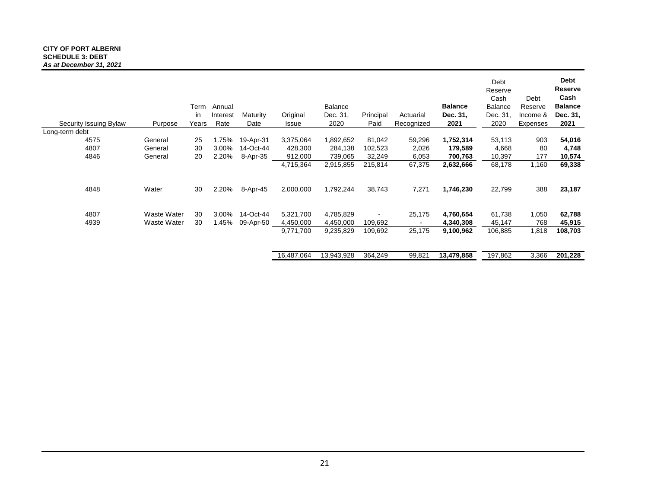#### **CITY OF PORT ALBERNI SCHEDULE 3: DEBT**  *As at December 31, 2021*

| Security Issuing Bylaw | Purpose     | Term<br>in<br>Years | Annual<br>Interest<br>Rate | Maturity<br>Date | Original<br>Issue | Balance<br>Dec. 31,<br>2020 | Principal<br>Paid | Actuarial<br>Recognized | <b>Balance</b><br>Dec. 31,<br>2021 | Debt<br>Reserve<br>Cash<br><b>Balance</b><br>Dec. 31,<br>2020 | Debt<br>Reserve<br>Income &<br>Expenses | <b>Debt</b><br>Reserve<br>Cash<br><b>Balance</b><br>Dec. 31,<br>2021 |
|------------------------|-------------|---------------------|----------------------------|------------------|-------------------|-----------------------------|-------------------|-------------------------|------------------------------------|---------------------------------------------------------------|-----------------------------------------|----------------------------------------------------------------------|
| Long-term debt         |             |                     |                            |                  |                   |                             |                   |                         |                                    |                                                               |                                         |                                                                      |
| 4575                   | General     | 25                  | 1.75%                      | 19-Apr-31        | 3,375,064         | 1,892,652                   | 81,042            | 59,296                  | 1,752,314                          | 53,113                                                        | 903                                     | 54,016                                                               |
| 4807                   | General     | 30                  | 3.00%                      | 14-Oct-44        | 428,300           | 284,138                     | 102,523           | 2,026                   | 179,589                            | 4,668                                                         | 80                                      | 4,748                                                                |
| 4846                   | General     | 20                  | 2.20%                      | 8-Apr-35         | 912,000           | 739,065                     | 32,249            | 6,053                   | 700,763                            | 10,397                                                        | 177                                     | 10,574                                                               |
|                        |             |                     |                            |                  | 4,715,364         | 2,915,855                   | 215,814           | 67,375                  | 2,632,666                          | 68,178                                                        | 1,160                                   | 69,338                                                               |
| 4848                   | Water       | 30                  | 2.20%                      | 8-Apr-45         | 2,000,000         | 1,792,244                   | 38,743            | 7,271                   | 1,746,230                          | 22,799                                                        | 388                                     | 23,187                                                               |
| 4807                   | Waste Water | 30                  | 3.00%                      | 14-Oct-44        | 5,321,700         | 4,785,829                   | $\blacksquare$    | 25,175                  | 4,760,654                          | 61,738                                                        | 1,050                                   | 62,788                                                               |
| 4939                   | Waste Water | 30                  | 1.45%                      | 09-Apr-50        | 4,450,000         | 4,450,000                   | 109,692           | $\sim$                  | 4,340,308                          | 45,147                                                        | 768                                     | 45,915                                                               |
|                        |             |                     |                            |                  | 9,771,700         | 9,235,829                   | 109,692           | 25,175                  | 9,100,962                          | 106,885                                                       | 1,818                                   | 108,703                                                              |
|                        |             |                     |                            |                  | 16,487,064        | 13,943,928                  | 364,249           | 99,821                  | 13,479,858                         | 197,862                                                       | 3,366                                   | 201,228                                                              |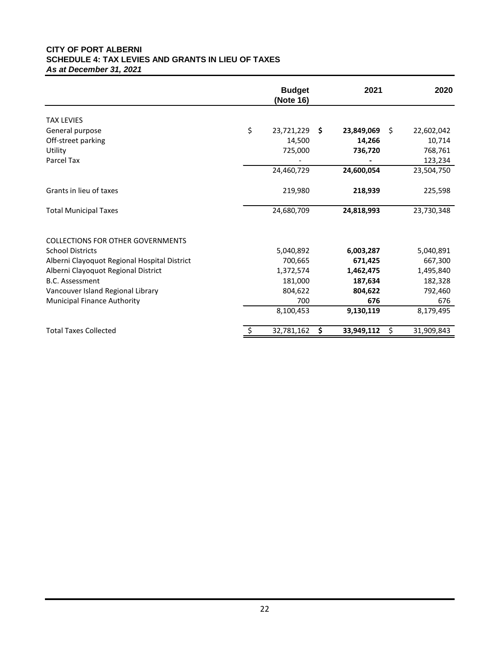#### **CITY OF PORT ALBERNI SCHEDULE 4: TAX LEVIES AND GRANTS IN LIEU OF TAXES**  *As at December 31, 2021*

|                                              | <b>Budget</b><br>(Note 16) |     | 2021       |     | 2020       |
|----------------------------------------------|----------------------------|-----|------------|-----|------------|
| <b>TAX LEVIES</b>                            |                            |     |            |     |            |
| General purpose                              | \$<br>23,721,229           | Ŝ.  | 23,849,069 | \$. | 22,602,042 |
| Off-street parking                           | 14,500                     |     | 14,266     |     | 10,714     |
| Utility                                      | 725,000                    |     | 736,720    |     | 768,761    |
| Parcel Tax                                   |                            |     |            |     | 123,234    |
|                                              | 24,460,729                 |     | 24,600,054 |     | 23,504,750 |
| Grants in lieu of taxes                      | 219,980                    |     | 218,939    |     | 225,598    |
| <b>Total Municipal Taxes</b>                 | 24,680,709                 |     | 24,818,993 |     | 23,730,348 |
| <b>COLLECTIONS FOR OTHER GOVERNMENTS</b>     |                            |     |            |     |            |
| <b>School Districts</b>                      | 5,040,892                  |     | 6,003,287  |     | 5,040,891  |
| Alberni Clayoquot Regional Hospital District | 700,665                    |     | 671,425    |     | 667,300    |
| Alberni Clayoquot Regional District          | 1,372,574                  |     | 1,462,475  |     | 1,495,840  |
| <b>B.C. Assessment</b>                       | 181,000                    |     | 187,634    |     | 182,328    |
| Vancouver Island Regional Library            | 804,622                    |     | 804,622    |     | 792,460    |
| <b>Municipal Finance Authority</b>           | 700                        |     | 676        |     | 676        |
|                                              | 8,100,453                  |     | 9,130,119  |     | 8,179,495  |
| <b>Total Taxes Collected</b>                 | 32,781,162                 | \$. | 33,949,112 | S   | 31,909,843 |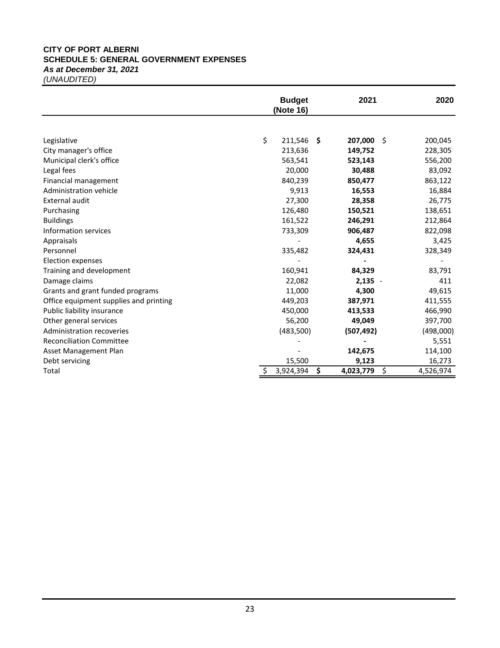#### **CITY OF PORT ALBERNI SCHEDULE 5: GENERAL GOVERNMENT EXPENSES**  *As at December 31, 2021*

|                                        | <b>Budget</b><br>(Note 16) | 2021             | 2020            |
|----------------------------------------|----------------------------|------------------|-----------------|
| Legislative                            | \$<br>211,546              | 207,000<br>- \$  | \$<br>200,045   |
| City manager's office                  | 213,636                    | 149,752          | 228,305         |
| Municipal clerk's office               | 563,541                    | 523,143          | 556,200         |
| Legal fees                             | 20,000                     | 30,488           | 83,092          |
| Financial management                   | 840,239                    | 850,477          | 863,122         |
| Administration vehicle                 | 9,913                      | 16,553           | 16,884          |
| External audit                         | 27,300                     | 28,358           | 26,775          |
| Purchasing                             | 126,480                    | 150,521          | 138,651         |
| <b>Buildings</b>                       | 161,522                    | 246,291          | 212,864         |
| Information services                   | 733,309                    | 906,487          | 822,098         |
| Appraisals                             |                            | 4,655            | 3,425           |
| Personnel                              | 335,482                    | 324,431          | 328,349         |
| <b>Election expenses</b>               |                            |                  |                 |
| Training and development               | 160,941                    | 84,329           | 83,791          |
| Damage claims                          | 22,082                     | $2,135 -$        | 411             |
| Grants and grant funded programs       | 11,000                     | 4,300            | 49,615          |
| Office equipment supplies and printing | 449,203                    | 387,971          | 411,555         |
| Public liability insurance             | 450,000                    | 413,533          | 466,990         |
| Other general services                 | 56,200                     | 49,049           | 397,700         |
| Administration recoveries              | (483,500)                  | (507, 492)       | (498,000)       |
| <b>Reconciliation Committee</b>        |                            |                  | 5,551           |
| Asset Management Plan                  |                            | 142,675          | 114,100         |
| Debt servicing                         | 15,500                     | 9,123            | 16,273          |
| Total                                  | 3,924,394<br>\$            | \$.<br>4,023,779 | \$<br>4,526,974 |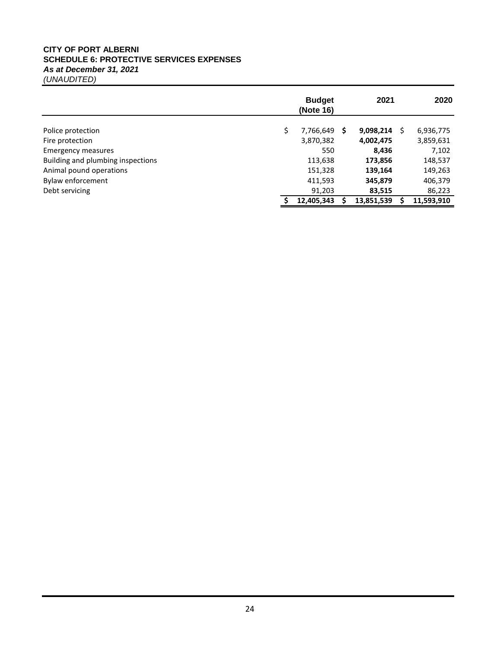#### **CITY OF PORT ALBERNI SCHEDULE 6: PROTECTIVE SERVICES EXPENSES** *As at December 31, 2021*

|                                   |    |            | 2021 | 2020       |   |            |
|-----------------------------------|----|------------|------|------------|---|------------|
| Police protection                 | Ś. | 7,766,649  | S    | 9,098,214  | S | 6,936,775  |
| Fire protection                   |    | 3,870,382  |      | 4,002,475  |   | 3,859,631  |
| <b>Emergency measures</b>         |    | 550        |      | 8,436      |   | 7,102      |
| Building and plumbing inspections |    | 113,638    |      | 173,856    |   | 148,537    |
| Animal pound operations           |    | 151,328    |      | 139,164    |   | 149,263    |
| Bylaw enforcement                 |    | 411,593    |      | 345,879    |   | 406,379    |
| Debt servicing                    |    | 91,203     |      | 83,515     |   | 86,223     |
|                                   |    | 12,405,343 |      | 13,851,539 |   | 11,593,910 |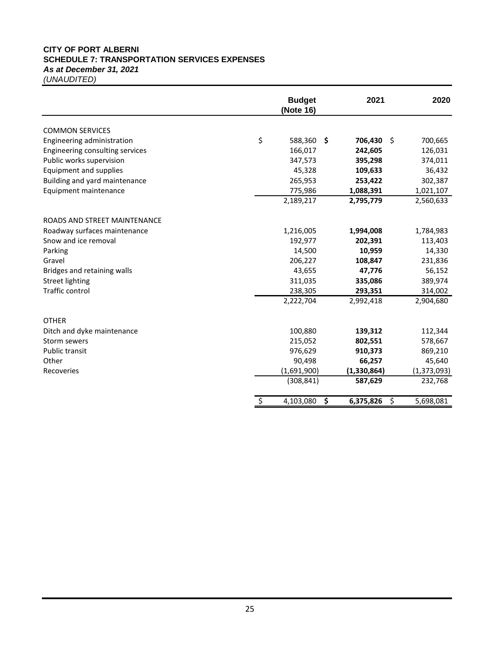#### **CITY OF PORT ALBERNI SCHEDULE 7: TRANSPORTATION SERVICES EXPENSES** *As at December 31, 2021*

|                                 | <b>Budget</b><br>(Note 16) |      | 2021        |    | 2020          |
|---------------------------------|----------------------------|------|-------------|----|---------------|
| <b>COMMON SERVICES</b>          |                            |      |             |    |               |
| Engineering administration      | \$<br>588,360              | - \$ | 706,430     | S. | 700,665       |
| Engineering consulting services | 166,017                    |      | 242,605     |    | 126,031       |
| Public works supervision        | 347,573                    |      | 395,298     |    | 374,011       |
| Equipment and supplies          | 45,328                     |      | 109,633     |    | 36,432        |
| Building and yard maintenance   | 265,953                    |      | 253,422     |    | 302,387       |
| Equipment maintenance           | 775,986                    |      | 1,088,391   |    | 1,021,107     |
|                                 | 2,189,217                  |      | 2,795,779   |    | 2,560,633     |
| ROADS AND STREET MAINTENANCE    |                            |      |             |    |               |
| Roadway surfaces maintenance    | 1,216,005                  |      | 1,994,008   |    | 1,784,983     |
| Snow and ice removal            | 192,977                    |      | 202,391     |    | 113,403       |
| Parking                         | 14,500                     |      | 10,959      |    | 14,330        |
| Gravel                          | 206,227                    |      | 108,847     |    | 231,836       |
| Bridges and retaining walls     | 43,655                     |      | 47,776      |    | 56,152        |
| <b>Street lighting</b>          | 311,035                    |      | 335,086     |    | 389,974       |
| Traffic control                 | 238,305                    |      | 293,351     |    | 314,002       |
|                                 | 2,222,704                  |      | 2,992,418   |    | 2,904,680     |
| <b>OTHER</b>                    |                            |      |             |    |               |
| Ditch and dyke maintenance      | 100,880                    |      | 139,312     |    | 112,344       |
| Storm sewers                    | 215,052                    |      | 802,551     |    | 578,667       |
| <b>Public transit</b>           | 976,629                    |      | 910,373     |    | 869,210       |
| Other                           | 90,498                     |      | 66,257      |    | 45,640        |
| Recoveries                      | (1,691,900)                |      | (1,330,864) |    | (1, 373, 093) |
|                                 | (308, 841)                 |      | 587,629     |    | 232,768       |
|                                 | \$<br>4,103,080            | \$   | 6,375,826   | \$ | 5,698,081     |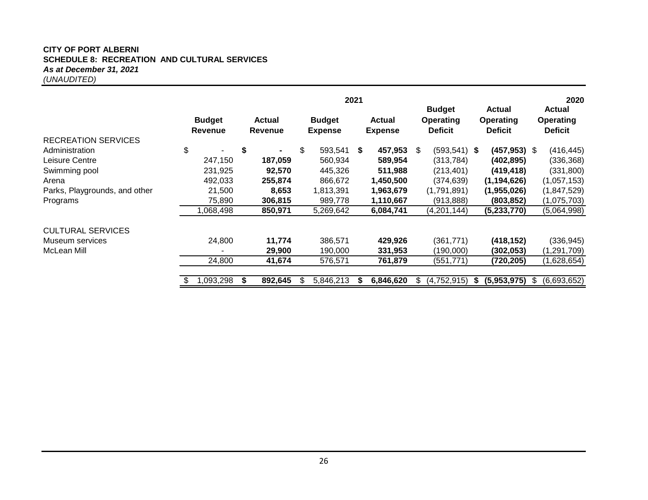#### **CITY OF PORT ALBERNI SCHEDULE 8: RECREATION AND CULTURAL SERVICES**  *As at December 31, 2021 (UNAUDITED)*

|                               |                          |           |                          |     | 2021                            |      |                                 |      | <b>Budget</b>                      |   | <b>Actual</b>                      | 2020<br>Actual                     |
|-------------------------------|--------------------------|-----------|--------------------------|-----|---------------------------------|------|---------------------------------|------|------------------------------------|---|------------------------------------|------------------------------------|
|                               | <b>Budget</b><br>Revenue |           | Actual<br><b>Revenue</b> |     | <b>Budget</b><br><b>Expense</b> |      | <b>Actual</b><br><b>Expense</b> |      | <b>Operating</b><br><b>Deficit</b> |   | <b>Operating</b><br><b>Deficit</b> | <b>Operating</b><br><b>Deficit</b> |
| <b>RECREATION SERVICES</b>    |                          |           |                          |     |                                 |      |                                 |      |                                    |   |                                    |                                    |
| Administration                | \$                       |           | \$                       | \$  | 593,541                         | - \$ | 457,953                         | - \$ | $(593, 541)$ \$                    |   | $(457, 953)$ \$                    | (416, 445)                         |
| Leisure Centre                |                          | 247,150   | 187,059                  |     | 560,934                         |      | 589,954                         |      | (313,784)                          |   | (402,895)                          | (336, 368)                         |
| Swimming pool                 |                          | 231,925   | 92,570                   |     | 445,326                         |      | 511,988                         |      | (213, 401)                         |   | (419, 418)                         | (331, 800)                         |
| Arena                         |                          | 492,033   | 255,874                  |     | 866,672                         |      | 1,450,500                       |      | (374,639)                          |   | (1, 194, 626)                      | (1,057,153)                        |
| Parks, Playgrounds, and other |                          | 21,500    | 8,653                    |     | 1,813,391                       |      | 1,963,679                       |      | (1,791,891)                        |   | (1,955,026)                        | (1,847,529)                        |
| Programs                      |                          | 75,890    | 306,815                  |     | 989,778                         |      | 1,110,667                       |      | (913, 888)                         |   | (803, 852)                         | (1,075,703)                        |
|                               |                          | 1,068,498 | 850,971                  |     | 5,269,642                       |      | 6,084,741                       |      | (4,201,144)                        |   | (5,233,770)                        | (5,064,998)                        |
| <b>CULTURAL SERVICES</b>      |                          |           |                          |     |                                 |      |                                 |      |                                    |   |                                    |                                    |
| Museum services               |                          | 24,800    | 11,774                   |     | 386,571                         |      | 429,926                         |      | (361,771)                          |   | (418, 152)                         | (336, 945)                         |
| McLean Mill                   |                          |           | 29,900                   |     | 190,000                         |      | 331,953                         |      | (190,000)                          |   | (302, 053)                         | (1, 291, 709)                      |
|                               |                          | 24,800    | 41,674                   |     | 576,571                         |      | 761,879                         |      | (551,771)                          |   | (720,205)                          | (1,628,654)                        |
|                               |                          |           |                          |     |                                 |      |                                 |      |                                    |   |                                    |                                    |
|                               |                          | 1,093,298 | 892,645                  | \$. | 5,846,213                       | S    | 6,846,620                       |      | (4,752,915)                        | S | (5,953,975)                        | \$<br>(6,693,652)                  |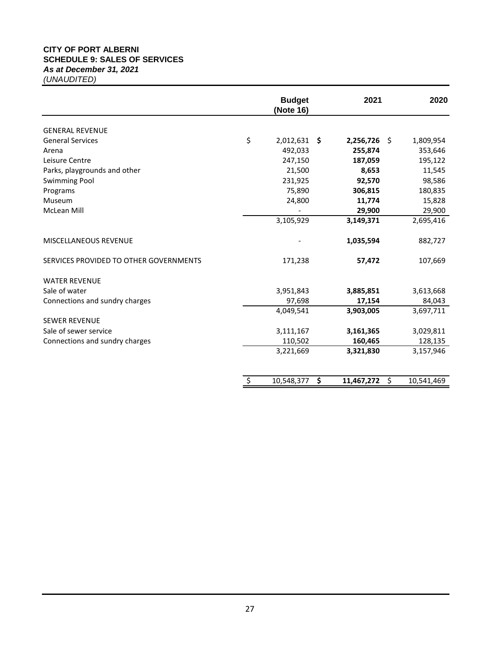#### **CITY OF PORT ALBERNI SCHEDULE 9: SALES OF SERVICES**  *As at December 31, 2021*

|                                        | <b>Budget</b><br>(Note 16) | 2021             |    | 2020       |
|----------------------------------------|----------------------------|------------------|----|------------|
| <b>GENERAL REVENUE</b>                 |                            |                  |    |            |
| <b>General Services</b>                | \$<br>2,012,631 \$         | 2,256,726        | -Ś | 1,809,954  |
| Arena                                  | 492,033                    | 255,874          |    | 353,646    |
| Leisure Centre                         | 247,150                    | 187,059          |    | 195,122    |
| Parks, playgrounds and other           | 21,500                     | 8,653            |    | 11,545     |
| <b>Swimming Pool</b>                   | 231,925                    | 92,570           |    | 98,586     |
| Programs                               | 75,890                     | 306,815          |    | 180,835    |
| Museum                                 | 24,800                     | 11,774           |    | 15,828     |
| <b>McLean Mill</b>                     |                            | 29,900           |    | 29,900     |
|                                        | 3,105,929                  | 3,149,371        |    | 2,695,416  |
| <b>MISCELLANEOUS REVENUE</b>           |                            | 1,035,594        |    | 882,727    |
| SERVICES PROVIDED TO OTHER GOVERNMENTS | 171,238                    | 57,472           |    | 107,669    |
| <b>WATER REVENUE</b>                   |                            |                  |    |            |
| Sale of water                          | 3,951,843                  | 3,885,851        |    | 3,613,668  |
| Connections and sundry charges         | 97,698                     | 17,154           |    | 84,043     |
|                                        | 4,049,541                  | 3,903,005        |    | 3,697,711  |
| <b>SEWER REVENUE</b>                   |                            |                  |    |            |
| Sale of sewer service                  | 3,111,167                  | 3,161,365        |    | 3,029,811  |
| Connections and sundry charges         | 110,502                    | 160,465          |    | 128,135    |
|                                        | 3,221,669                  | 3,321,830        |    | 3,157,946  |
|                                        |                            |                  |    |            |
|                                        | \$<br>10,548,377           | \$<br>11,467,272 | \$ | 10,541,469 |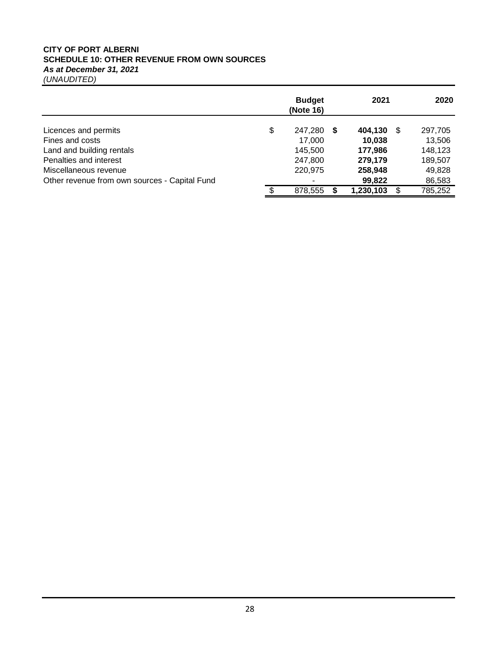#### **CITY OF PORT ALBERNI SCHEDULE 10: OTHER REVENUE FROM OWN SOURCES**  *As at December 31, 2021*

|                                               | <b>Budget</b><br>(Note 16) |    | 2021      |      | 2020    |
|-----------------------------------------------|----------------------------|----|-----------|------|---------|
| Licences and permits                          | \$<br>247,280              | -S | 404.130   | - \$ | 297,705 |
| Fines and costs                               | 17.000                     |    | 10.038    |      | 13,506  |
| Land and building rentals                     | 145,500                    |    | 177,986   |      | 148,123 |
| Penalties and interest                        | 247,800                    |    | 279,179   |      | 189,507 |
| Miscellaneous revenue                         | 220,975                    |    | 258,948   |      | 49,828  |
| Other revenue from own sources - Capital Fund |                            |    | 99,822    |      | 86,583  |
|                                               | 878,555                    |    | 1,230,103 | S    | 785,252 |